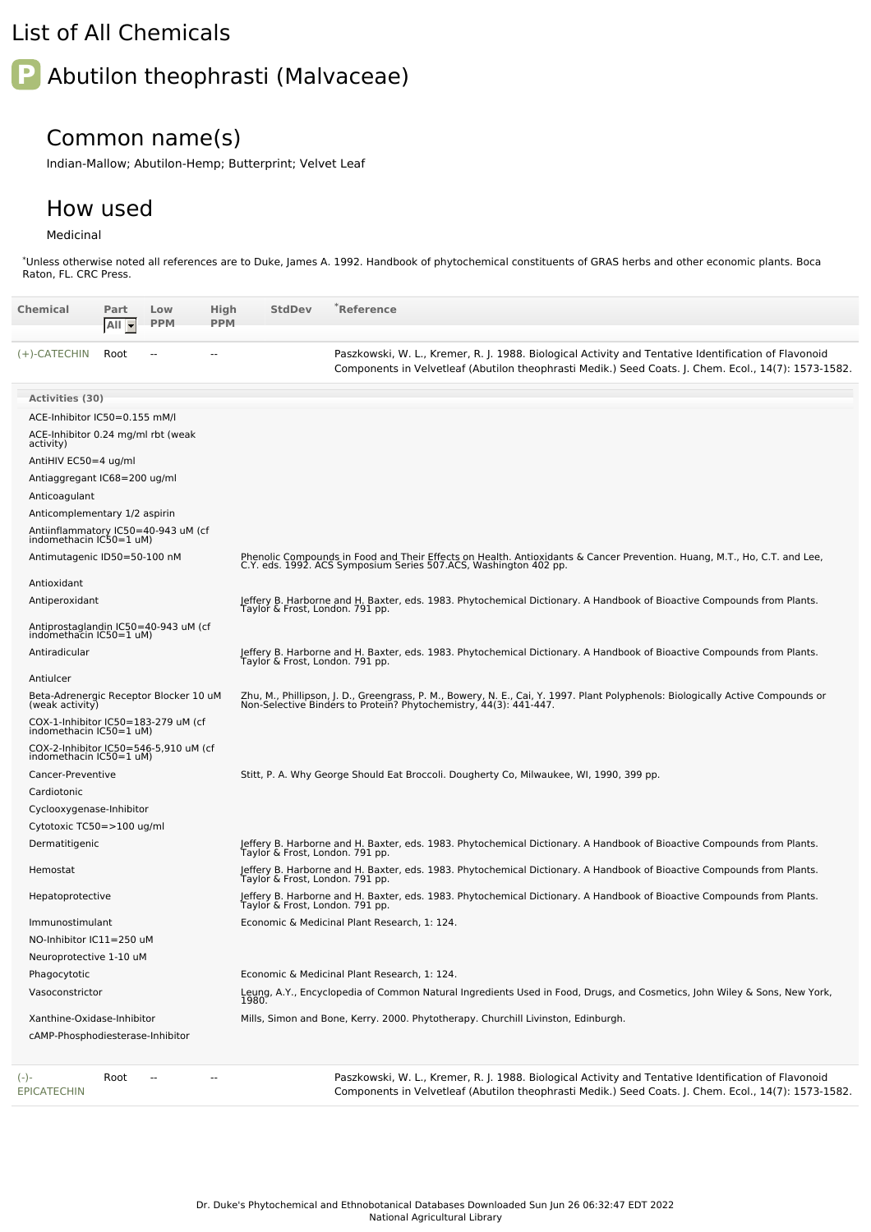## List of All Chemicals

# **P** Abutilon theophrasti (Malvaceae)

### Common name(s)

Indian-Mallow; Abutilon-Hemp; Butterprint; Velvet Leaf

#### How used

#### Medicinal

\*Unless otherwise noted all references are to Duke, James A. 1992. Handbook of phytochemical constituents of GRAS herbs and other economic plants. Boca Raton, FL. CRC Press.

| Chemical                                                         | Part<br>$All -$ | Low<br><b>PPM</b> | High<br><b>PPM</b> | <b>StdDev</b>                   | `Reference                                                                                                                                                                                                   |
|------------------------------------------------------------------|-----------------|-------------------|--------------------|---------------------------------|--------------------------------------------------------------------------------------------------------------------------------------------------------------------------------------------------------------|
| (+)-CATECHIN                                                     | Root            |                   |                    |                                 | Paszkowski, W. L., Kremer, R. J. 1988. Biological Activity and Tentative Identification of Flavonoid<br>Components in Velvetleaf (Abutilon theophrasti Medik.) Seed Coats. J. Chem. Ecol., 14(7): 1573-1582. |
| <b>Activities (30)</b>                                           |                 |                   |                    |                                 |                                                                                                                                                                                                              |
| ACE-Inhibitor IC50=0.155 mM/l                                    |                 |                   |                    |                                 |                                                                                                                                                                                                              |
| ACE-Inhibitor 0.24 mg/ml rbt (weak<br>activity)                  |                 |                   |                    |                                 |                                                                                                                                                                                                              |
| AntiHIV EC50=4 ug/ml                                             |                 |                   |                    |                                 |                                                                                                                                                                                                              |
| Antiaggregant IC68=200 ug/ml                                     |                 |                   |                    |                                 |                                                                                                                                                                                                              |
| Anticoagulant                                                    |                 |                   |                    |                                 |                                                                                                                                                                                                              |
| Anticomplementary 1/2 aspirin                                    |                 |                   |                    |                                 |                                                                                                                                                                                                              |
| Antiinflammatory IC50=40-943 uM (cf<br>indomethacin IC50=1 uM)   |                 |                   |                    |                                 |                                                                                                                                                                                                              |
| Antimutagenic ID50=50-100 nM                                     |                 |                   |                    |                                 | Phenolic Compounds in Food and Their Effects on Health. Antioxidants & Cancer Prevention. Huang, M.T., Ho, C.T. and Lee,<br>C.Y. eds. 1992. ACS Symposium Series 507.ACS, Washington 402 pp.                 |
| Antioxidant                                                      |                 |                   |                    |                                 |                                                                                                                                                                                                              |
| Antiperoxidant                                                   |                 |                   |                    | Taylor & Frost, London. 791 pp. | Jeffery B. Harborne and H. Baxter, eds. 1983. Phytochemical Dictionary. A Handbook of Bioactive Compounds from Plants.                                                                                       |
| Antiprostaglandin IC50=40-943 uM (cf<br>indomethacin IC50=1 uM)  |                 |                   |                    |                                 |                                                                                                                                                                                                              |
| Antiradicular                                                    |                 |                   |                    | Taylor & Frost, London. 791 pp. | Jeffery B. Harborne and H. Baxter, eds. 1983. Phytochemical Dictionary. A Handbook of Bioactive Compounds from Plants.                                                                                       |
| Antiulcer                                                        |                 |                   |                    |                                 |                                                                                                                                                                                                              |
| Beta-Adrenergic Receptor Blocker 10 uM<br>(weak activity)        |                 |                   |                    |                                 | Zhu, M., Phillipson, J. D., Greengrass, P. M., Bowery, N. E., Cai, Y. 1997. Plant Polyphenols: Biologically Active Compounds or<br>Non-Selective Binders to Protein? Phytochemistry, 44(3): 441-447.         |
| COX-1-Inhibitor IC50=183-279 uM (cf<br>indomethacin IC50=1 uM)   |                 |                   |                    |                                 |                                                                                                                                                                                                              |
| COX-2-Inhibitor IC50=546-5,910 uM (cf<br>indomethacin IC50=1 uM) |                 |                   |                    |                                 |                                                                                                                                                                                                              |
| Cancer-Preventive                                                |                 |                   |                    |                                 | Stitt, P. A. Why George Should Eat Broccoli. Dougherty Co, Milwaukee, WI, 1990, 399 pp.                                                                                                                      |
| Cardiotonic                                                      |                 |                   |                    |                                 |                                                                                                                                                                                                              |
| Cyclooxygenase-Inhibitor                                         |                 |                   |                    |                                 |                                                                                                                                                                                                              |
| Cytotoxic TC50=>100 ug/ml                                        |                 |                   |                    |                                 |                                                                                                                                                                                                              |
| Dermatitigenic                                                   |                 |                   |                    | Taylor & Frost, London. 791 pp. | Jeffery B. Harborne and H. Baxter, eds. 1983. Phytochemical Dictionary. A Handbook of Bioactive Compounds from Plants.                                                                                       |
| Hemostat                                                         |                 |                   |                    | Taylor & Frost, London. 791 pp. | Jeffery B. Harborne and H. Baxter, eds. 1983. Phytochemical Dictionary. A Handbook of Bioactive Compounds from Plants.                                                                                       |
| Hepatoprotective                                                 |                 |                   |                    |                                 | Jeffery B. Harborne and H. Baxter, eds. 1983. Phytochemical Dictionary. A Handbook of Bioactive Compounds from Plants.<br>Taylor & Frost, London. 791 pp.                                                    |
| Immunostimulant                                                  |                 |                   |                    |                                 | Economic & Medicinal Plant Research, 1: 124.                                                                                                                                                                 |
| NO-Inhibitor IC11=250 uM                                         |                 |                   |                    |                                 |                                                                                                                                                                                                              |
| Neuroprotective 1-10 uM                                          |                 |                   |                    |                                 |                                                                                                                                                                                                              |
| Phagocytotic                                                     |                 |                   |                    |                                 | Economic & Medicinal Plant Research, 1: 124.                                                                                                                                                                 |
| Vasoconstrictor                                                  |                 |                   |                    | 1980.                           | Leung, A.Y., Encyclopedia of Common Natural Ingredients Used in Food, Drugs, and Cosmetics, John Wiley & Sons, New York,                                                                                     |
| Xanthine-Oxidase-Inhibitor<br>cAMP-Phosphodiesterase-Inhibitor   |                 |                   |                    |                                 | Mills, Simon and Bone, Kerry. 2000. Phytotherapy. Churchill Livinston, Edinburgh.                                                                                                                            |
| $(-)$ -<br><b>EPICATECHIN</b>                                    | Root            | $-$               |                    |                                 | Paszkowski, W. L., Kremer, R. J. 1988. Biological Activity and Tentative Identification of Flavonoid<br>Components in Velvetleaf (Abutilon theophrasti Medik.) Seed Coats. J. Chem. Ecol., 14(7): 1573-1582. |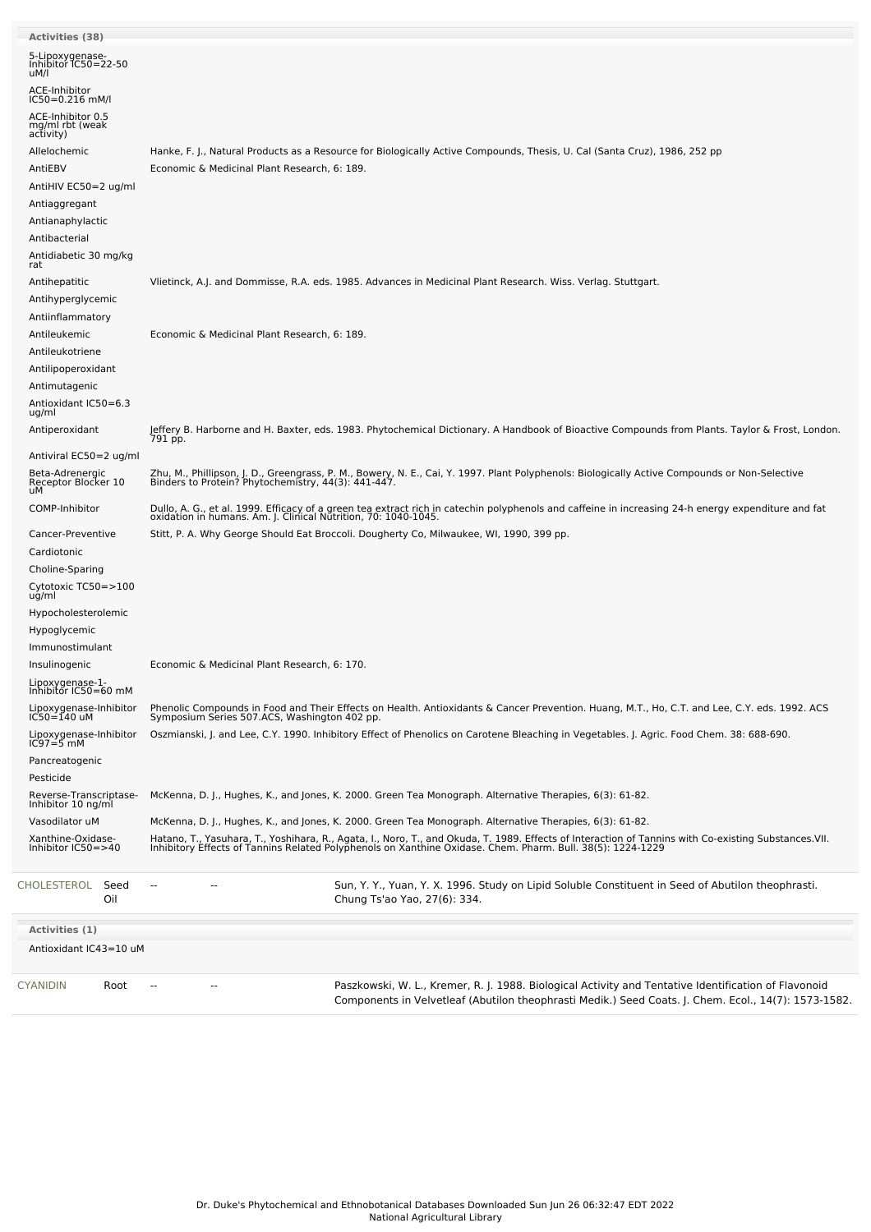| <b>Activities (38)</b>                            |                                                                                                                                                                                                                                   |
|---------------------------------------------------|-----------------------------------------------------------------------------------------------------------------------------------------------------------------------------------------------------------------------------------|
| 5-Lipoxygenase-<br>Inhibitor IC50=22-50<br>uM/l   |                                                                                                                                                                                                                                   |
| ACE-Inhibitor<br>IC50=0.216 mM/l                  |                                                                                                                                                                                                                                   |
| ACE-Inhibitor 0.5<br>mg/ml rbt (weak<br>activity) |                                                                                                                                                                                                                                   |
| Allelochemic                                      | Hanke, F. J., Natural Products as a Resource for Biologically Active Compounds, Thesis, U. Cal (Santa Cruz), 1986, 252 pp                                                                                                         |
| AntiEBV                                           | Economic & Medicinal Plant Research, 6: 189.                                                                                                                                                                                      |
| AntiHIV EC50=2 ug/ml                              |                                                                                                                                                                                                                                   |
| Antiaggregant                                     |                                                                                                                                                                                                                                   |
| Antianaphylactic                                  |                                                                                                                                                                                                                                   |
| Antibacterial                                     |                                                                                                                                                                                                                                   |
| Antidiabetic 30 mg/kg<br>rat                      |                                                                                                                                                                                                                                   |
| Antihepatitic                                     | Vlietinck, A.J. and Dommisse, R.A. eds. 1985. Advances in Medicinal Plant Research. Wiss. Verlag. Stuttgart.                                                                                                                      |
| Antihyperglycemic                                 |                                                                                                                                                                                                                                   |
| Antiinflammatory                                  |                                                                                                                                                                                                                                   |
| Antileukemic                                      | Economic & Medicinal Plant Research, 6: 189.                                                                                                                                                                                      |
| Antileukotriene                                   |                                                                                                                                                                                                                                   |
| Antilipoperoxidant<br>Antimutagenic               |                                                                                                                                                                                                                                   |
| Antioxidant IC50=6.3                              |                                                                                                                                                                                                                                   |
| ug/ml                                             |                                                                                                                                                                                                                                   |
| Antiperoxidant                                    | Jeffery B. Harborne and H. Baxter, eds. 1983. Phytochemical Dictionary. A Handbook of Bioactive Compounds from Plants. Taylor & Frost, London.<br>791 pp.                                                                         |
| Antiviral EC50=2 ug/ml                            |                                                                                                                                                                                                                                   |
| Beta-Adrenergic<br>Receptor Blocker 10<br>uМ      | Zhu, M., Phillipson, J. D., Greengrass, P. M., Bowery, N. E., Cai, Y. 1997. Plant Polyphenols: Biologically Active Compounds or Non-Selective<br>Binders to Protein? Phytochemistry, 44(3): 441-447.                              |
| COMP-Inhibitor                                    | Dullo, A. G., et al. 1999. Efficacy of a green tea extract rich in catechin polyphenols and caffeine in increasing 24-h energy expenditure and fat<br>oxidation in humans. Am. J. Clinical Nutrition, 70: 1040-1045.              |
| Cancer-Preventive                                 | Stitt, P. A. Why George Should Eat Broccoli. Dougherty Co, Milwaukee, WI, 1990, 399 pp.                                                                                                                                           |
| Cardiotonic                                       |                                                                                                                                                                                                                                   |
| Choline-Sparing                                   |                                                                                                                                                                                                                                   |
| Cytotoxic TC50=>100<br>ug/ml                      |                                                                                                                                                                                                                                   |
| Hypocholesterolemic                               |                                                                                                                                                                                                                                   |
| Hypoglycemic                                      |                                                                                                                                                                                                                                   |
| Immunostimulant                                   |                                                                                                                                                                                                                                   |
| Insulinogenic                                     | Economic & Medicinal Plant Research, 6: 170.                                                                                                                                                                                      |
| Lipoxygenase-1-<br>Inhibitor IC50=60 mM           |                                                                                                                                                                                                                                   |
| Lipoxygenase-Inhibitor<br>IC50=140 uM             | Phenolic Compounds in Food and Their Effects on Health. Antioxidants & Cancer Prevention. Huang, M.T., Ho, C.T. and Lee, C.Y. eds. 1992. ACS<br>Symposium Series 507.ACS, Washington 402 pp.                                      |
| Lipoxygenase-Inhibitor<br>IC97=5 mM               | Oszmianski, J. and Lee, C.Y. 1990. Inhibitory Effect of Phenolics on Carotene Bleaching in Vegetables. J. Agric. Food Chem. 38: 688-690.                                                                                          |
| Pancreatogenic                                    |                                                                                                                                                                                                                                   |
| Pesticide                                         |                                                                                                                                                                                                                                   |
| Reverse-Transcriptase-<br>Inhibitor 10 ng/ml      | McKenna, D. J., Hughes, K., and Jones, K. 2000. Green Tea Monograph. Alternative Therapies, 6(3): 61-82.                                                                                                                          |
| Vasodilator uM                                    | McKenna, D. J., Hughes, K., and Jones, K. 2000. Green Tea Monograph. Alternative Therapies, 6(3): 61-82.                                                                                                                          |
| Xanthine-Oxidase-<br>Inhibitor IC50=>40           | Hatano, T., Yasuhara, T., Yoshihara, R., Agata, I., Noro, T., and Okuda, T. 1989. Effects of Interaction of Tannins with Co-existing Substances. VII.<br>Inhibitory Effects of Tannins Related Polyphenols on Xanthine Oxidase. C |
| CHOLESTEROL<br>Seed<br>Oil                        | Sun, Y. Y., Yuan, Y. X. 1996. Study on Lipid Soluble Constituent in Seed of Abutilon theophrasti.<br>Chung Ts'ao Yao, 27(6): 334.                                                                                                 |
| Activities (1)                                    |                                                                                                                                                                                                                                   |
| Antioxidant IC43=10 uM                            |                                                                                                                                                                                                                                   |
| CYANIDIN<br>Root                                  | Paszkowski, W. L., Kremer, R. J. 1988. Biological Activity and Tentative Identification of Flavonoid<br>Components in Velvetleaf (Abutilon theophrasti Medik.) Seed Coats. J. Chem. Ecol., 14(7): 1573-1582.                      |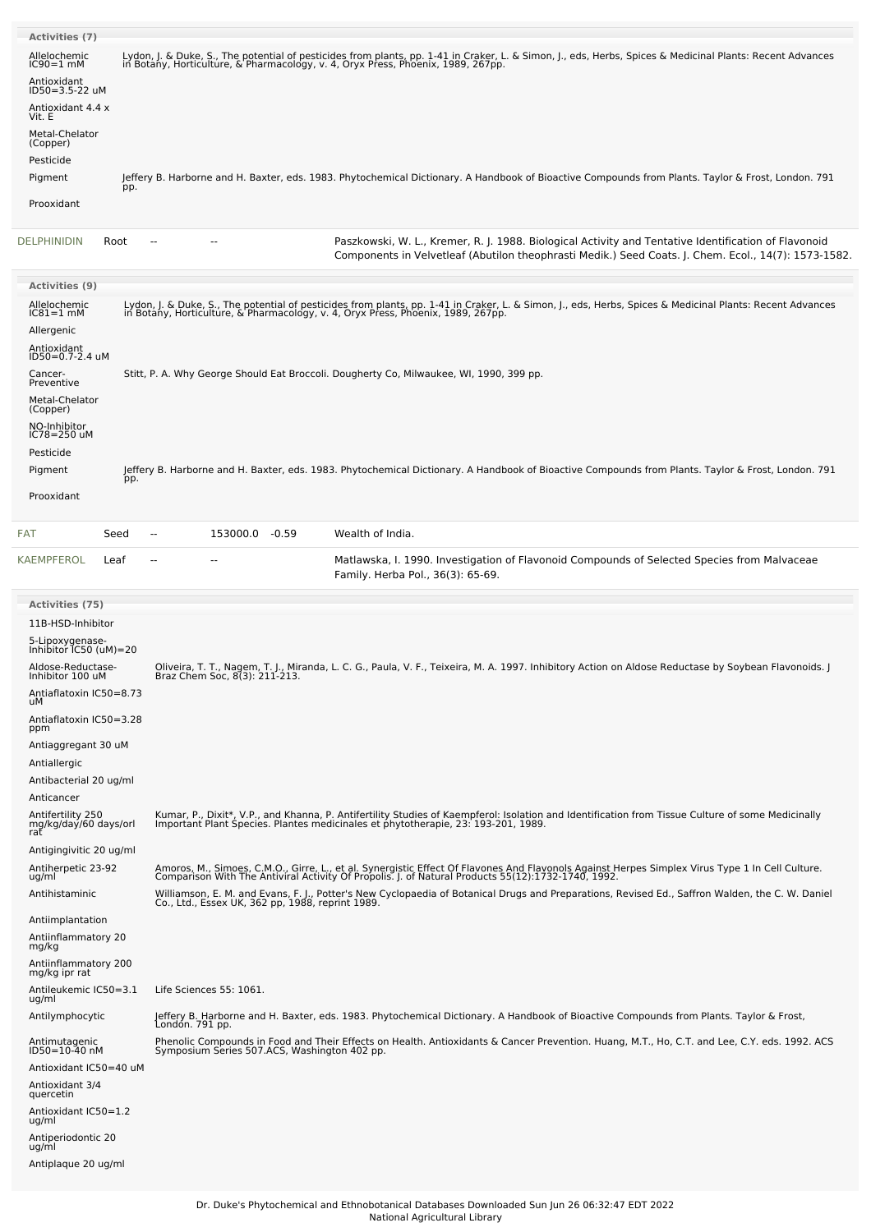| <b>Activities (7)</b>                             |      |                                                                                         |                |  |                                                                                                                                                                                                                                   |  |  |
|---------------------------------------------------|------|-----------------------------------------------------------------------------------------|----------------|--|-----------------------------------------------------------------------------------------------------------------------------------------------------------------------------------------------------------------------------------|--|--|
| Allelochemic                                      |      |                                                                                         |                |  |                                                                                                                                                                                                                                   |  |  |
| $IC90=1$ mM                                       |      |                                                                                         |                |  | Lydon, J. & Duke, S., The potential of pesticides from plants, pp. 1-41 in Craker, L. & Simon, J., eds, Herbs, Spices & Medicinal Plants: Recent Advances<br>in Botany, Horticulture, & Pharmacology, v. 4, Oryx Press, Phoenix,  |  |  |
| Antioxidant<br>ID50=3.5-22 uM                     |      |                                                                                         |                |  |                                                                                                                                                                                                                                   |  |  |
| Antioxidant 4.4 x<br>Vit. E                       |      |                                                                                         |                |  |                                                                                                                                                                                                                                   |  |  |
| Metal-Chelator<br>(Copper)                        |      |                                                                                         |                |  |                                                                                                                                                                                                                                   |  |  |
| Pesticide                                         |      |                                                                                         |                |  |                                                                                                                                                                                                                                   |  |  |
| Pigment                                           | pp.  |                                                                                         |                |  | Jeffery B. Harborne and H. Baxter, eds. 1983. Phytochemical Dictionary. A Handbook of Bioactive Compounds from Plants. Taylor & Frost, London. 791                                                                                |  |  |
| Prooxidant                                        |      |                                                                                         |                |  |                                                                                                                                                                                                                                   |  |  |
| <b>DELPHINIDIN</b>                                | Root | н.                                                                                      |                |  | Paszkowski, W. L., Kremer, R. J. 1988. Biological Activity and Tentative Identification of Flavonoid<br>Components in Velvetleaf (Abutilon theophrasti Medik.) Seed Coats. J. Chem. Ecol., 14(7): 1573-1582.                      |  |  |
| <b>Activities (9)</b>                             |      |                                                                                         |                |  |                                                                                                                                                                                                                                   |  |  |
| Allelochemic<br>IC81=1 mM                         |      |                                                                                         |                |  | Lydon, J. & Duke, S., The potential of pesticides from plants, pp. 1-41 in Craker, L. & Simon, J., eds, Herbs, Spices & Medicinal Plants: Recent Advances<br>in Botany, Horticulture, & Pharmacology, v. 4, Oryx Press, Phoenix,  |  |  |
| Allergenic                                        |      |                                                                                         |                |  |                                                                                                                                                                                                                                   |  |  |
| Antioxidant                                       |      |                                                                                         |                |  |                                                                                                                                                                                                                                   |  |  |
| ID50=0.7-2.4 uM<br>Cancer-<br>Preventive          |      | Stitt, P. A. Why George Should Eat Broccoli. Dougherty Co, Milwaukee, WI, 1990, 399 pp. |                |  |                                                                                                                                                                                                                                   |  |  |
| Metal-Chelator<br>(Copper)                        |      |                                                                                         |                |  |                                                                                                                                                                                                                                   |  |  |
| NO-Inhibitor<br>IC78=250 uM                       |      |                                                                                         |                |  |                                                                                                                                                                                                                                   |  |  |
| Pesticide                                         |      |                                                                                         |                |  |                                                                                                                                                                                                                                   |  |  |
| Pigment                                           | pp.  |                                                                                         |                |  | Jeffery B. Harborne and H. Baxter, eds. 1983. Phytochemical Dictionary. A Handbook of Bioactive Compounds from Plants. Taylor & Frost, London. 791                                                                                |  |  |
| Prooxidant                                        |      |                                                                                         |                |  |                                                                                                                                                                                                                                   |  |  |
| FAT                                               | Seed | $\overline{a}$                                                                          | 153000.0 -0.59 |  | Wealth of India.                                                                                                                                                                                                                  |  |  |
| KAEMPFEROL                                        | Leaf | ۵.                                                                                      |                |  | Matlawska, I. 1990. Investigation of Flavonoid Compounds of Selected Species from Malvaceae<br>Family. Herba Pol., 36(3): 65-69.                                                                                                  |  |  |
| Activities (75)                                   |      |                                                                                         |                |  |                                                                                                                                                                                                                                   |  |  |
| 11B-HSD-Inhibitor                                 |      |                                                                                         |                |  |                                                                                                                                                                                                                                   |  |  |
| 5-Lipoxygenase-<br>Inhibitor IC50 (uM)=20         |      |                                                                                         |                |  |                                                                                                                                                                                                                                   |  |  |
| Aldose-Reductase-<br>Inhibitor 100 uM             |      |                                                                                         |                |  | Oliveira, T. T., Nagem, T. J., Miranda, L. C. G., Paula, V. F., Teixeira, M. A. 1997. Inhibitory Action on Aldose Reductase by Soybean Flavonoids. J<br>Braz Chem Soc, 8(3): 211-213.                                             |  |  |
| Antiaflatoxin IC50=8.73                           |      |                                                                                         |                |  |                                                                                                                                                                                                                                   |  |  |
| uМ<br>Antiaflatoxin IC50=3.28                     |      |                                                                                         |                |  |                                                                                                                                                                                                                                   |  |  |
| ppm                                               |      |                                                                                         |                |  |                                                                                                                                                                                                                                   |  |  |
| Antiaggregant 30 uM<br>Antiallergic               |      |                                                                                         |                |  |                                                                                                                                                                                                                                   |  |  |
| Antibacterial 20 ug/ml                            |      |                                                                                         |                |  |                                                                                                                                                                                                                                   |  |  |
| Anticancer                                        |      |                                                                                         |                |  |                                                                                                                                                                                                                                   |  |  |
| Antifertility 250<br>mg/kg/day/60 days/orl<br>rat |      |                                                                                         |                |  | Kumar, P., Dixit*, V.P., and Khanna, P. Antifertility Studies of Kaempferol: Isolation and Identification from Tissue Culture of some Medicinally<br>Important Plant Species. Plantes medicinales et phytotherapie, 23: 193-201,  |  |  |
| Antigingivitic 20 ug/ml                           |      |                                                                                         |                |  |                                                                                                                                                                                                                                   |  |  |
| Antiherpetic 23-92<br>ug/ml                       |      |                                                                                         |                |  | Amoros, M., Simoes, C.M.O., Girre, L., et al. Synergistic Effect Of Flavones And Flavonols Against Herpes Simplex Virus Type 1 In Cell Culture.<br>Comparison With The Antiviral Activity Of Propolis. J. of Natural Products 55( |  |  |
| Antihistaminic                                    |      |                                                                                         |                |  | Williamson, E. M. and Evans, F. J., Potter's New Cyclopaedia of Botanical Drugs and Preparations, Revised Ed., Saffron Walden, the C. W. Daniel<br>Co., Ltd., Essex UK, 362 pp, 1988, reprint 1989.                               |  |  |

Antiinflammatory <sup>20</sup> mg/kg Antiinflammatory <sup>200</sup> mg/kg ipr rat Antileukemic IC50=3.1 ug/ml

Antiplaque 20 ug/ml

Life Sciences 55: 1061.

Antiimplantation

Antilymphocytic Jeffery B. Harborne and H. Baxter, eds. 1983. Phytochemical Dictionary. A Handbook of Bioactive Compounds from Plants. Taylor & Frost, London. 791 pp. Antimutagenic ID50=10-40 nM Phenolic Compounds in Food and Their Effects on Health. Antioxidants & Cancer Prevention. Huang, M.T., Ho, C.T. and Lee, C.Y. eds. 1992. ACS Symposium Series 507.ACS, Washington 402 pp. Antioxidant IC50=40 uM Antioxidant 3/4 quercetin Antioxidant IC50=1.2 ug/ml Antiperiodontic 20 ug/ml

> Dr. Duke's Phytochemical and Ethnobotanical Databases Downloaded Sun Jun 26 06:32:47 EDT 2022 National Agricultural Library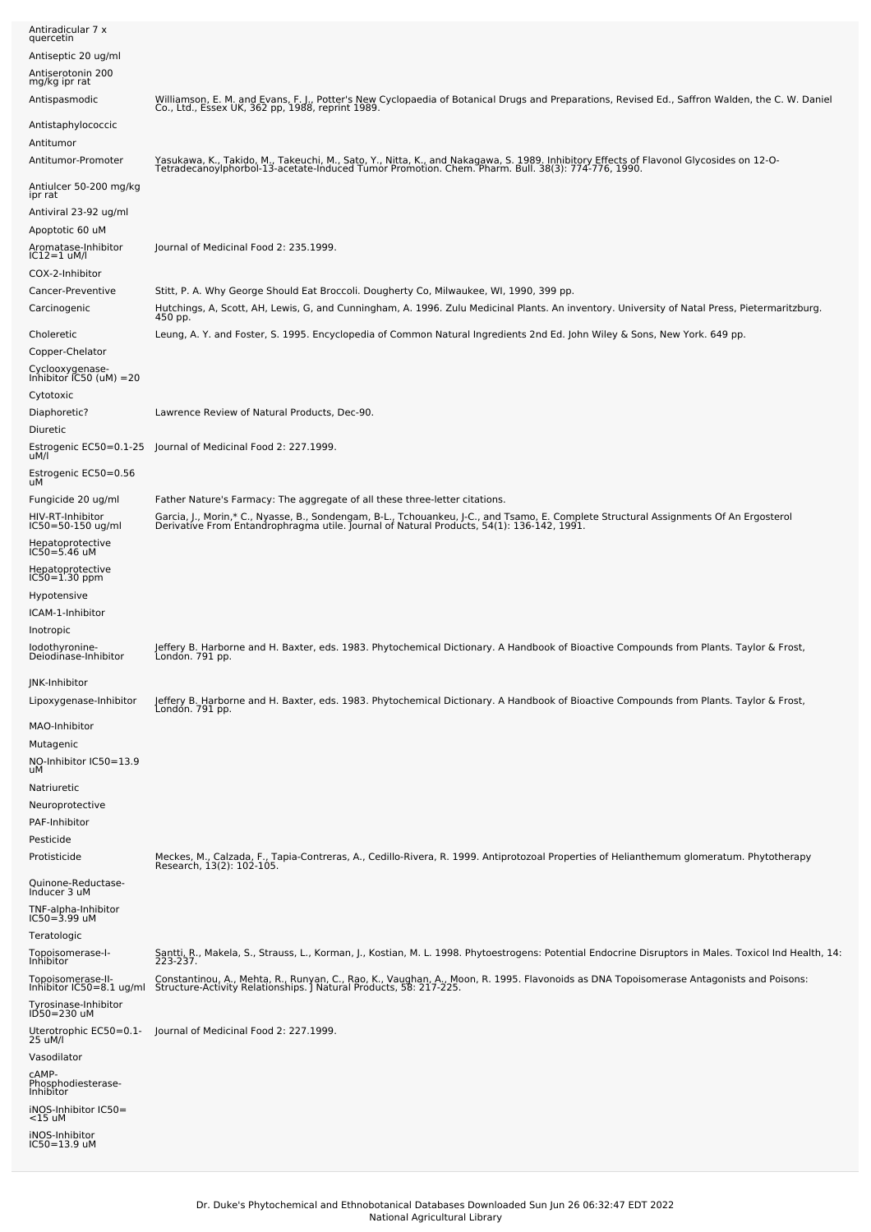| Antiradicular 7 x<br>quercetin                                  |                                                                                                                                                                                                                                             |
|-----------------------------------------------------------------|---------------------------------------------------------------------------------------------------------------------------------------------------------------------------------------------------------------------------------------------|
| Antiseptic 20 ug/ml                                             |                                                                                                                                                                                                                                             |
| Antiserotonin 200<br>mg/kg ipr rat                              |                                                                                                                                                                                                                                             |
| Antispasmodic                                                   | Williamson, E. M. and Evans, F. J., Potter's New Cyclopaedia of Botanical Drugs and Preparations, Revised Ed., Saffron Walden, the C. W. Daniel<br>Co., Ltd., Essex UK, 362 pp, 1988, reprint 1989.                                         |
| Antistaphylococcic                                              |                                                                                                                                                                                                                                             |
| Antitumor<br>Antitumor-Promoter                                 | Yasukawa, K., Takido, M., Takeuchi, M., Sato, Y., Nitta, K., and Nakagawa, S. 1989. Inhibitory Effects of Flavonol Glycosides on 12-O-<br>Tetradecanoylphorbol-13-acetate-Induced Tumor Promotion. Chem. Pharm. Bull. 38(3): 774-776, 1990. |
| Antiulcer 50-200 mg/kg<br>ipr rat                               |                                                                                                                                                                                                                                             |
| Antiviral 23-92 ug/ml<br>Apoptotic 60 uM                        |                                                                                                                                                                                                                                             |
| Aromatase-Inhibitor<br>IC12=1 uM/l                              | Journal of Medicinal Food 2: 235.1999.                                                                                                                                                                                                      |
| COX-2-Inhibitor                                                 |                                                                                                                                                                                                                                             |
| Cancer-Preventive                                               | Stitt, P. A. Why George Should Eat Broccoli. Dougherty Co, Milwaukee, WI, 1990, 399 pp.                                                                                                                                                     |
| Carcinogenic                                                    | Hutchings, A, Scott, AH, Lewis, G, and Cunningham, A. 1996. Zulu Medicinal Plants. An inventory. University of Natal Press, Pietermaritzburg.<br>450 pp.                                                                                    |
| Choleretic<br>Copper-Chelator                                   | Leung, A. Y. and Foster, S. 1995. Encyclopedia of Common Natural Ingredients 2nd Ed. John Wiley & Sons, New York. 649 pp.                                                                                                                   |
| Cyclooxygenase-<br>Inhibitor IC50 (uM) =20<br>Cytotoxic         |                                                                                                                                                                                                                                             |
| Diaphoretic?                                                    | Lawrence Review of Natural Products, Dec-90.                                                                                                                                                                                                |
| Diuretic<br>Estrogenic EC50=0.1-25<br>uM/l                      | Journal of Medicinal Food 2: 227.1999.                                                                                                                                                                                                      |
| Estrogenic EC50=0.56<br>uM                                      |                                                                                                                                                                                                                                             |
| Fungicide 20 ug/ml                                              | Father Nature's Farmacy: The aggregate of all these three-letter citations.                                                                                                                                                                 |
| HIV-RT-Inhibitor<br>IC50=50-150 ug/ml                           | Garcia, J., Morin,* C., Nyasse, B., Sondengam, B-L., Tchouankeu, J-C., and Tsamo, E. Complete Structural Assignments Of An Ergosterol<br>Derivative From Entandrophragma utile. Journal of Natural Products, 54(1): 136-142, 1991           |
| Hepatoprotective<br>IC50=5.46 uM                                |                                                                                                                                                                                                                                             |
| Hepatoprotective<br>IC50=1.30 ppm                               |                                                                                                                                                                                                                                             |
| Hypotensive<br>ICAM-1-Inhibitor                                 |                                                                                                                                                                                                                                             |
| Inotropic                                                       |                                                                                                                                                                                                                                             |
| lodothyronine-<br>Deiodinase-Inhibitor                          | Jeffery B. Harborne and H. Baxter, eds. 1983. Phytochemical Dictionary. A Handbook of Bioactive Compounds from Plants. Taylor & Frost,<br>London. 791 pp.                                                                                   |
| JNK-Inhibitor                                                   |                                                                                                                                                                                                                                             |
| Lipoxygenase-Inhibitor                                          | Jeffery B. Harborne and H. Baxter, eds. 1983. Phytochemical Dictionary. A Handbook of Bioactive Compounds from Plants. Taylor & Frost,<br>London. 791 pp.                                                                                   |
| MAO-Inhibitor<br>Mutagenic                                      |                                                                                                                                                                                                                                             |
| NO-Inhibitor IC50=13.9<br>uМ                                    |                                                                                                                                                                                                                                             |
| Natriuretic                                                     |                                                                                                                                                                                                                                             |
| Neuroprotective<br>PAF-Inhibitor                                |                                                                                                                                                                                                                                             |
| Pesticide                                                       |                                                                                                                                                                                                                                             |
| Protisticide                                                    | Meckes, M., Calzada, F., Tapia-Contreras, A., Cedillo-Rivera, R. 1999. Antiprotozoal Properties of Helianthemum glomeratum. Phytotherapy<br>Research, 13(2): 102-105.                                                                       |
| Quinone-Reductase-<br>Inducer 3 uM                              |                                                                                                                                                                                                                                             |
| TNF-alpha-Inhibitor<br>IC50=3.99 uM<br>Teratologic              |                                                                                                                                                                                                                                             |
| Topoisomerase-I-                                                | Santti, R., Makela, S., Strauss, L., Korman, J., Kostian, M. L. 1998. Phytoestrogens: Potential Endocrine Disruptors in Males. Toxicol Ind Health, 14:<br>223-237.                                                                          |
| Inhibitor<br>Topoisomerase-II-                                  | Constantinou, A., Mehta, R., Runyan, C., Rao, K., Vaughan, A., Moon, R. 1995. Flavonoids as DNA Topoisomerase Antagonists and Poisons:                                                                                                      |
| Inhibitor IC50=8.1 ug/ml<br>Tyrosinase-Inhibitor<br>ID50=230 uM | Structure-Activity Relationships. J Natural Products, 58: 217-225.                                                                                                                                                                          |
| Uterotrophic EC50=0.1-<br>25 uM/l                               | Journal of Medicinal Food 2: 227.1999.                                                                                                                                                                                                      |
| Vasodilator<br>cAMP-<br>Phosphodiesterase-                      |                                                                                                                                                                                                                                             |
| Inhibitor<br>iNOS-Inhibitor IC50=<br><15 uM                     |                                                                                                                                                                                                                                             |
| iNOS-Inhibitor<br>IC50=13.9 uM                                  |                                                                                                                                                                                                                                             |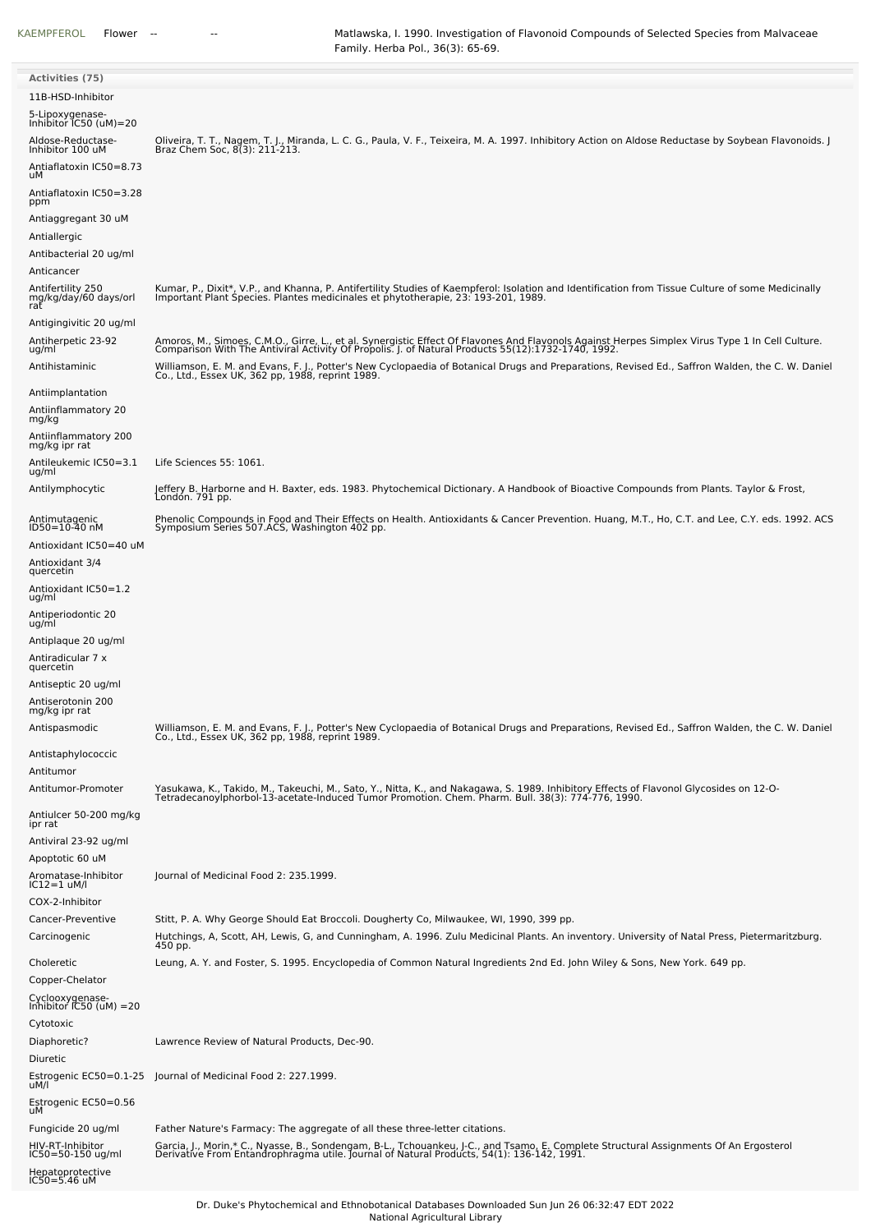| <b>Activities (75)</b>                                                 |                                                                                                                                                                                                                                                                                                                                                                                                          |
|------------------------------------------------------------------------|----------------------------------------------------------------------------------------------------------------------------------------------------------------------------------------------------------------------------------------------------------------------------------------------------------------------------------------------------------------------------------------------------------|
| 11B-HSD-Inhibitor                                                      |                                                                                                                                                                                                                                                                                                                                                                                                          |
| 5-Lipoxygenase-<br>Inhibitor IC50 (uM)=20                              |                                                                                                                                                                                                                                                                                                                                                                                                          |
| Aldose-Reductase-<br>Inhibitor 100 uM<br>Antiaflatoxin IC50=8.73<br>uМ | Oliveira, T. T., Nagem, T. J., Miranda, L. C. G., Paula, V. F., Teixeira, M. A. 1997. Inhibitory Action on Aldose Reductase by Soybean Flavonoids. J<br>Braz Chem Soc, 8(3): 211-213.                                                                                                                                                                                                                    |
| Antiaflatoxin IC50=3.28<br>ppm<br>Antiaggregant 30 uM                  |                                                                                                                                                                                                                                                                                                                                                                                                          |
| Antiallergic<br>Antibacterial 20 ug/ml                                 |                                                                                                                                                                                                                                                                                                                                                                                                          |
| Anticancer<br>Antifertility 250                                        | Kumar, P., Dixit*, V.P., and Khanna, P. Antifertility Studies of Kaempferol: Isolation and Identification from Tissue Culture of some Medicinally                                                                                                                                                                                                                                                        |
| mg/kg/day/60 days/orl<br>rat<br>Antigingivitic 20 ug/ml                | Important Plant Species. Plantes medicinales et phytotherapie, 23: 193-201, 1989.                                                                                                                                                                                                                                                                                                                        |
| Antiherpetic 23-92<br>ug/ml<br>Antihistaminic                          | Amoros, M., Simoes, C.M.O., Girre, L., et al. Synergistic Effect Of Flavones And Flavonols Against Herpes Simplex Virus Type 1 In Cell Culture.<br>Comparison With The Antiviral Activity Of Propolis. J. of Natural Products 55(12):1732-1740, 1992.<br>Williamson, E. M. and Evans, F. J., Potter's New Cyclopaedia of Botanical Drugs and Preparations, Revised Ed., Saffron Walden, the C. W. Daniel |
| Antiimplantation                                                       | Co., Ltd., Essex UK, 362 pp, 1988, reprint 1989.                                                                                                                                                                                                                                                                                                                                                         |
| Antiinflammatory 20<br>mg/kg                                           |                                                                                                                                                                                                                                                                                                                                                                                                          |
| Antiinflammatory 200<br>mg/kg ipr rat                                  |                                                                                                                                                                                                                                                                                                                                                                                                          |
| Antileukemic IC50=3.1<br>ug/ml                                         | Life Sciences 55: 1061.                                                                                                                                                                                                                                                                                                                                                                                  |
| Antilymphocytic                                                        | Jeffery B. Harborne and H. Baxter, eds. 1983. Phytochemical Dictionary. A Handbook of Bioactive Compounds from Plants. Taylor & Frost,<br>Londón. 791 pp.                                                                                                                                                                                                                                                |
| Antimutagenic<br>ID50=10-40 nM                                         | Phenolic Compounds in Food and Their Effects on Health. Antioxidants & Cancer Prevention. Huang, M.T., Ho, C.T. and Lee, C.Y. eds. 1992. ACS<br>Symposium Series 507.ACS, Washington 402 pp.                                                                                                                                                                                                             |
| Antioxidant IC50=40 uM                                                 |                                                                                                                                                                                                                                                                                                                                                                                                          |
| Antioxidant 3/4<br>quercetin                                           |                                                                                                                                                                                                                                                                                                                                                                                                          |
| Antioxidant IC50=1.2<br>ug/ml                                          |                                                                                                                                                                                                                                                                                                                                                                                                          |
| Antiperiodontic 20<br>ug/ml                                            |                                                                                                                                                                                                                                                                                                                                                                                                          |
| Antiplaque 20 ug/ml<br>Antiradicular 7 x                               |                                                                                                                                                                                                                                                                                                                                                                                                          |
| quercetin                                                              |                                                                                                                                                                                                                                                                                                                                                                                                          |
| Antiseptic 20 ug/ml<br>Antiserotonin 200<br>mg/kg ipr rat              |                                                                                                                                                                                                                                                                                                                                                                                                          |
| Antispasmodic                                                          | Williamson, E. M. and Evans, F. J., Potter's New Cyclopaedia of Botanical Drugs and Preparations, Revised Ed., Saffron Walden, the C. W. Daniel<br>Co., Ltd., Essex UK, 362 pp, 1988, reprint 1989.                                                                                                                                                                                                      |
| Antistaphylococcic<br>Antitumor                                        |                                                                                                                                                                                                                                                                                                                                                                                                          |
| Antitumor-Promoter                                                     | Yasukawa, K., Takido, M., Takeuchi, M., Sato, Y., Nitta, K., and Nakagawa, S. 1989. Inhibitory Effects of Flavonol Glycosides on 12-O-<br>TetradecanoyIphorbol-13-acetate-Induced Tumor Promotion. Chem. Pharm. Bull. 38(3): 774-                                                                                                                                                                        |
| Antiulcer 50-200 mg/kg<br>ipr rat                                      |                                                                                                                                                                                                                                                                                                                                                                                                          |
| Antiviral 23-92 ug/ml<br>Apoptotic 60 uM                               |                                                                                                                                                                                                                                                                                                                                                                                                          |
| Aromatase-Inhibitor<br>IC12=1 uM/l                                     | Journal of Medicinal Food 2: 235.1999.                                                                                                                                                                                                                                                                                                                                                                   |
| COX-2-Inhibitor                                                        |                                                                                                                                                                                                                                                                                                                                                                                                          |
| Cancer-Preventive<br>Carcinogenic                                      | Stitt, P. A. Why George Should Eat Broccoli. Dougherty Co, Milwaukee, WI, 1990, 399 pp.<br>Hutchings, A, Scott, AH, Lewis, G, and Cunningham, A. 1996. Zulu Medicinal Plants. An inventory. University of Natal Press, Pietermaritzburg.<br>450 pp.                                                                                                                                                      |
| Choleretic                                                             | Leung, A. Y. and Foster, S. 1995. Encyclopedia of Common Natural Ingredients 2nd Ed. John Wiley & Sons, New York. 649 pp.                                                                                                                                                                                                                                                                                |
| Copper-Chelator                                                        |                                                                                                                                                                                                                                                                                                                                                                                                          |
| Cyclooxygenase-<br>Inhibitor IC50 (uM) =20                             |                                                                                                                                                                                                                                                                                                                                                                                                          |
| Cytotoxic<br>Diaphoretic?                                              | Lawrence Review of Natural Products, Dec-90.                                                                                                                                                                                                                                                                                                                                                             |
| Diuretic                                                               |                                                                                                                                                                                                                                                                                                                                                                                                          |
| Estrogenic EC50=0.1-25<br>uM/l                                         | Journal of Medicinal Food 2: 227.1999.                                                                                                                                                                                                                                                                                                                                                                   |
| Estrogenic EC50=0.56<br>uМ                                             |                                                                                                                                                                                                                                                                                                                                                                                                          |
| Fungicide 20 ug/ml                                                     | Father Nature's Farmacy: The aggregate of all these three-letter citations.                                                                                                                                                                                                                                                                                                                              |
| HIV-RT-Inhibitor<br>IC50=50-150 ug/ml                                  | Garcia, J., Morin,* C., Nyasse, B., Sondengam, B-L., Tchouankeu, J-C., and Tsamo, E. Complete Structural Assignments Of An Ergosterol<br>Derivative From Entandrophragma utile. Journal of Natural Products, 54(1): 136-142, 1991                                                                                                                                                                        |
| Hepatoprotective<br>IC50=5.46 uM                                       |                                                                                                                                                                                                                                                                                                                                                                                                          |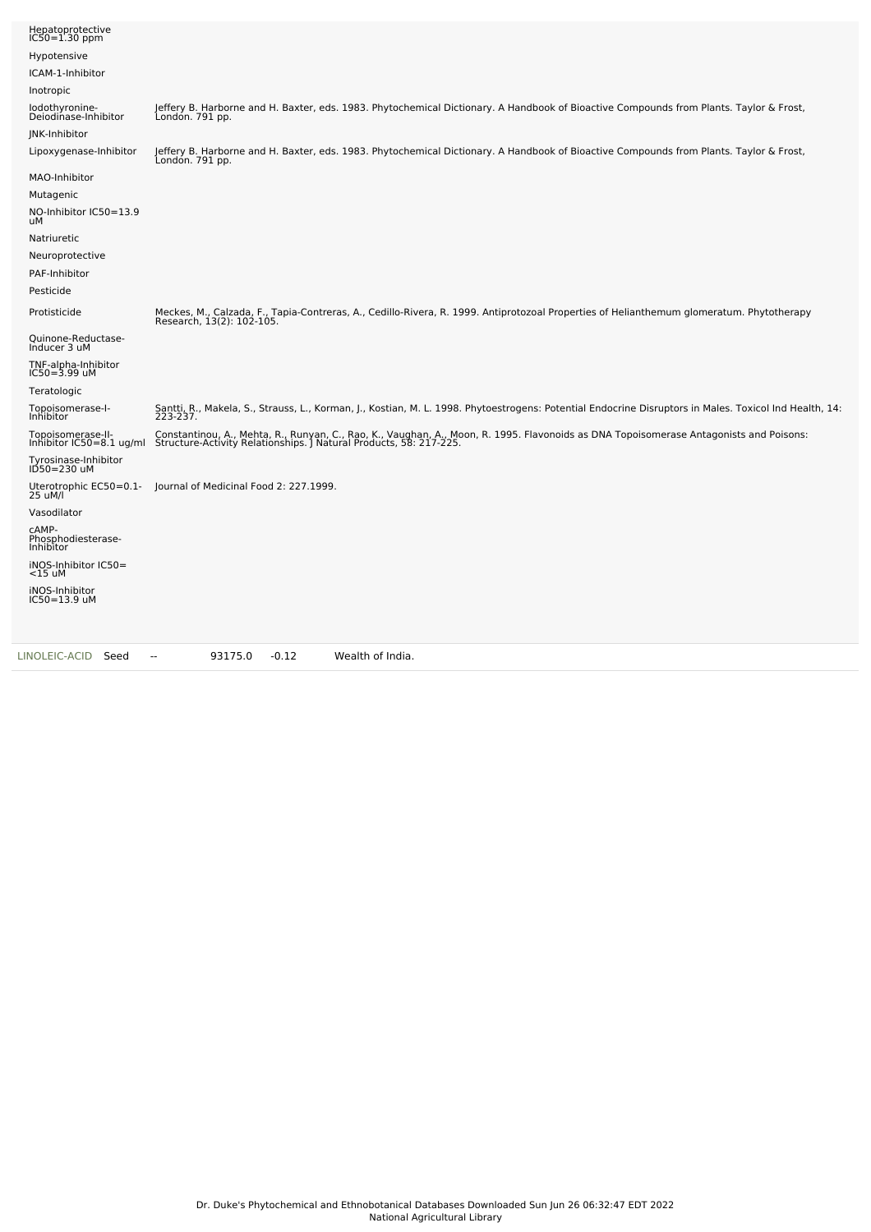| Hepatoprotective<br>IC50=1.30 ppm               |                                                                                                                                                                                                              |
|-------------------------------------------------|--------------------------------------------------------------------------------------------------------------------------------------------------------------------------------------------------------------|
| Hypotensive                                     |                                                                                                                                                                                                              |
| ICAM-1-Inhibitor                                |                                                                                                                                                                                                              |
| Inotropic                                       |                                                                                                                                                                                                              |
| lodothyronine-<br>Deiodinase-Inhibitor          | Jeffery B. Harborne and H. Baxter, eds. 1983. Phytochemical Dictionary. A Handbook of Bioactive Compounds from Plants. Taylor & Frost,<br>London. 791 pp.                                                    |
| JNK-Inhibitor                                   |                                                                                                                                                                                                              |
| Lipoxygenase-Inhibitor                          | Jeffery B. Harborne and H. Baxter, eds. 1983. Phytochemical Dictionary. A Handbook of Bioactive Compounds from Plants. Taylor & Frost,<br>London. 791 pp.                                                    |
| MAO-Inhibitor                                   |                                                                                                                                                                                                              |
| Mutagenic                                       |                                                                                                                                                                                                              |
| NO-Inhibitor IC50=13.9<br>uМ                    |                                                                                                                                                                                                              |
| Natriuretic                                     |                                                                                                                                                                                                              |
| Neuroprotective                                 |                                                                                                                                                                                                              |
| PAF-Inhibitor                                   |                                                                                                                                                                                                              |
| Pesticide                                       |                                                                                                                                                                                                              |
| Protisticide                                    | Meckes, M., Calzada, F., Tapia-Contreras, A., Cedillo-Rivera, R. 1999. Antiprotozoal Properties of Helianthemum glomeratum. Phytotherapy<br>Research, 13(2): 102-105.                                        |
| Quinone-Reductase-<br>Inducer 3 uM              |                                                                                                                                                                                                              |
| TNF-alpha-Inhibitor<br>$IC50 = 3.99$ uM         |                                                                                                                                                                                                              |
| Teratologic                                     |                                                                                                                                                                                                              |
| Topoisomerase-I-<br><b>Inhibitor</b>            | Santti, R., Makela, S., Strauss, L., Korman, J., Kostian, M. L. 1998. Phytoestrogens: Potential Endocrine Disruptors in Males. Toxicol Ind Health, 14:<br>223-237.                                           |
| Topoisomerase-II-<br>Inhibitor $IC50=8.1$ ug/ml | Constantinou, A., Mehta, R., Runyan, C., Rao, K., Vaughan, A., Moon, R. 1995. Flavonoids as DNA Topoisomerase Antagonists and Poisons:<br>Structure-Activity Relationships. J Natural Products, 58: 217-225. |
| Tyrosinase-Inhibitor<br>ID50=230 uM             |                                                                                                                                                                                                              |
| Uterotrophic EC50=0.1-<br>25 uM/l               | Journal of Medicinal Food 2: 227.1999.                                                                                                                                                                       |
| Vasodilator                                     |                                                                                                                                                                                                              |
| CAMP-<br>Phosphodiesterase-<br>Inhibitor        |                                                                                                                                                                                                              |
| iNOS-Inhibitor IC50=<br>$<$ 15 uM               |                                                                                                                                                                                                              |
| iNOS-Inhibitor<br>IC50=13.9 uM                  |                                                                                                                                                                                                              |
| LINOLEIC-ACID<br>Seed                           | 93175.0<br>$-0.12$<br>Wealth of India.<br>$\sim$                                                                                                                                                             |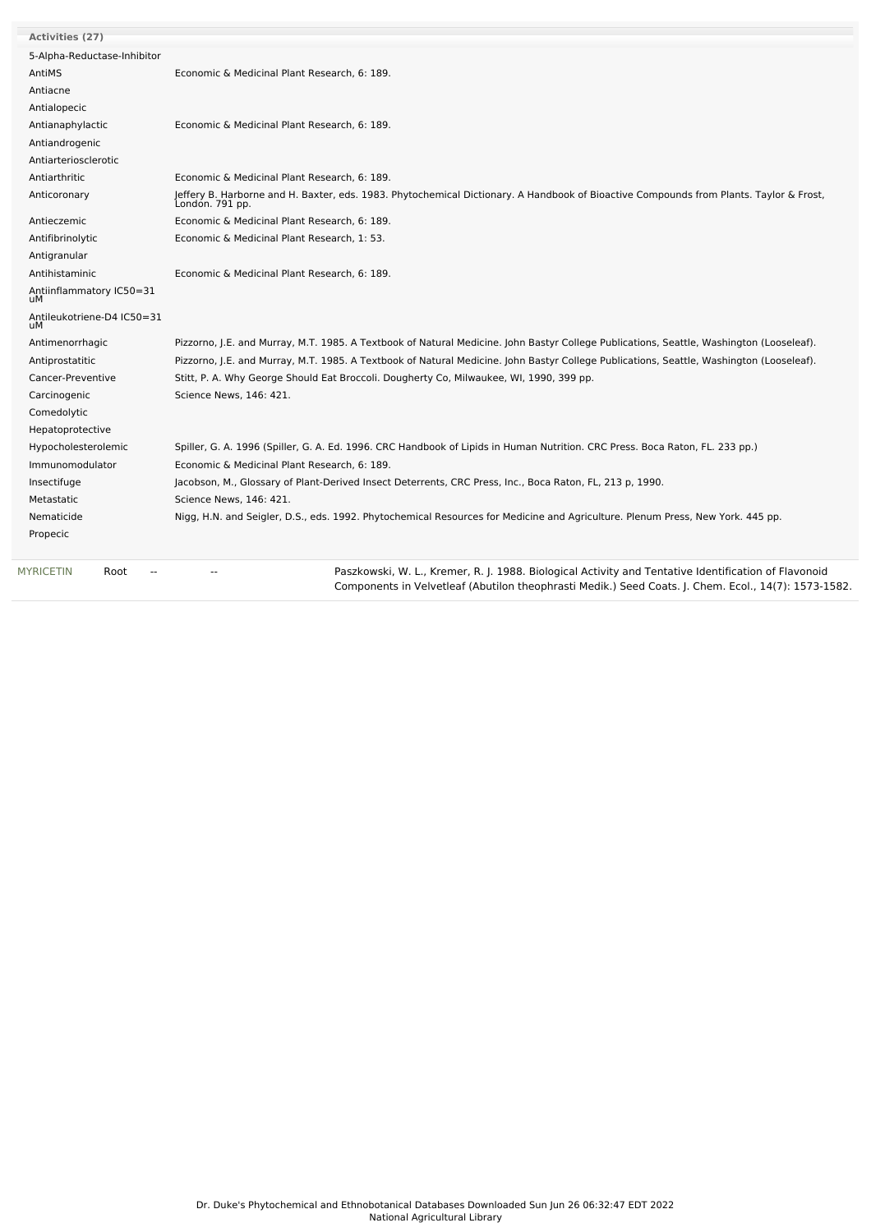| <b>Activities (27)</b>             |                                                                                                                                                           |
|------------------------------------|-----------------------------------------------------------------------------------------------------------------------------------------------------------|
| 5-Alpha-Reductase-Inhibitor        |                                                                                                                                                           |
| AntiMS                             | Economic & Medicinal Plant Research, 6: 189.                                                                                                              |
| Antiacne                           |                                                                                                                                                           |
| Antialopecic                       |                                                                                                                                                           |
| Antianaphylactic                   | Economic & Medicinal Plant Research, 6: 189.                                                                                                              |
| Antiandrogenic                     |                                                                                                                                                           |
| Antiarteriosclerotic               |                                                                                                                                                           |
| Antiarthritic                      | Economic & Medicinal Plant Research, 6: 189.                                                                                                              |
| Anticoronary                       | Jeffery B. Harborne and H. Baxter, eds. 1983. Phytochemical Dictionary. A Handbook of Bioactive Compounds from Plants. Taylor & Frost,<br>London. 791 pp. |
| Antieczemic                        | Economic & Medicinal Plant Research, 6: 189.                                                                                                              |
| Antifibrinolytic                   | Economic & Medicinal Plant Research, 1: 53.                                                                                                               |
| Antigranular                       |                                                                                                                                                           |
| Antihistaminic                     | Economic & Medicinal Plant Research, 6: 189.                                                                                                              |
| Antiinflammatory IC50=31<br>uМ     |                                                                                                                                                           |
| Antileukotriene-D4 IC50=31<br>uМ   |                                                                                                                                                           |
| Antimenorrhagic                    | Pizzorno, J.E. and Murray, M.T. 1985. A Textbook of Natural Medicine. John Bastyr College Publications, Seattle, Washington (Looseleaf).                  |
| Antiprostatitic                    | Pizzorno, J.E. and Murray, M.T. 1985. A Textbook of Natural Medicine. John Bastyr College Publications, Seattle, Washington (Looseleaf).                  |
| Cancer-Preventive                  | Stitt, P. A. Why George Should Eat Broccoli. Dougherty Co, Milwaukee, WI, 1990, 399 pp.                                                                   |
| Carcinogenic                       | Science News, 146: 421.                                                                                                                                   |
| Comedolytic                        |                                                                                                                                                           |
| Hepatoprotective                   |                                                                                                                                                           |
| Hypocholesterolemic                | Spiller, G. A. 1996 (Spiller, G. A. Ed. 1996. CRC Handbook of Lipids in Human Nutrition. CRC Press. Boca Raton, FL. 233 pp.)                              |
| Immunomodulator                    | Economic & Medicinal Plant Research, 6: 189.                                                                                                              |
| Insectifuge                        | Jacobson, M., Glossary of Plant-Derived Insect Deterrents, CRC Press, Inc., Boca Raton, FL, 213 p, 1990.                                                  |
| Metastatic                         | Science News, 146: 421.                                                                                                                                   |
| Nematicide                         | Nigg, H.N. and Seigler, D.S., eds. 1992. Phytochemical Resources for Medicine and Agriculture. Plenum Press, New York. 445 pp.                            |
| Propecic                           |                                                                                                                                                           |
| <b>MYRICETIN</b><br>Root<br>$\sim$ | Paszkowski, W. L., Kremer, R. J. 1988. Biological Activity and Tentative Identification of Flavonoid                                                      |

Components in Velvetleaf (Abutilon theophrasti Medik.) Seed Coats. J. Chem. Ecol., 14(7): 1573-1582.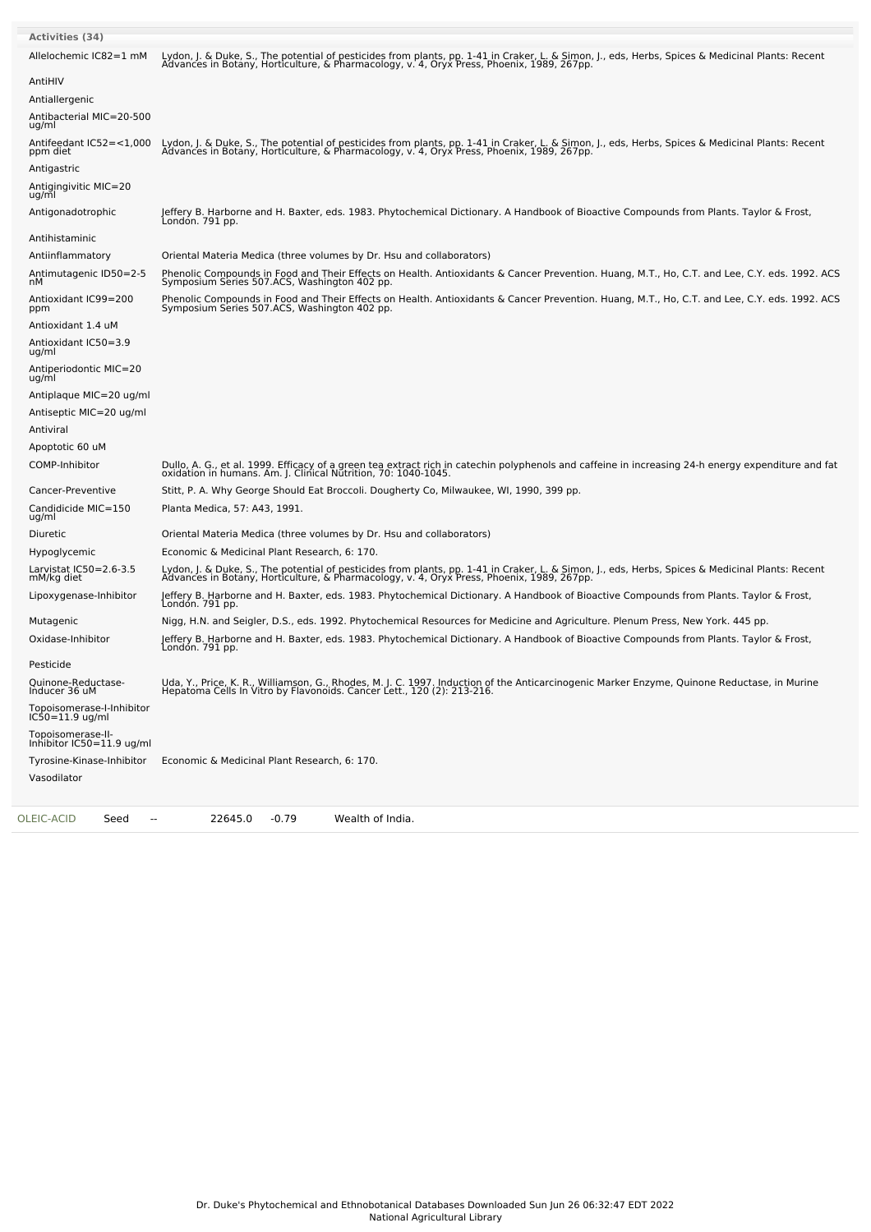| <b>Activities (34)</b>                           |                                                                                                                                                                                                                                  |
|--------------------------------------------------|----------------------------------------------------------------------------------------------------------------------------------------------------------------------------------------------------------------------------------|
| Allelochemic IC82=1 mM                           | Lydon, J. & Duke, S., The potential of pesticides from plants, pp. 1-41 in Craker, L. & Simon, J., eds, Herbs, Spices & Medicinal Plants: Recent<br>Advances in Botany, Horticulture, & Pharmacology, v. 4, Oryx Press, Phoenix, |
| AntiHIV                                          |                                                                                                                                                                                                                                  |
| Antiallergenic                                   |                                                                                                                                                                                                                                  |
| Antibacterial MIC=20-500<br>ug/ml                |                                                                                                                                                                                                                                  |
| Antifeedant IC52=<1,000<br>ppm diet              | Lydon, J. & Duke, S., The potential of pesticides from plants, pp. 1-41 in Craker, L. & Simon, J., eds, Herbs, Spices & Medicinal Plants: Recent<br>Advances in Botany, Horticulture, & Pharmacology, v. 4, Oryx Press, Phoenix, |
| Antigastric                                      |                                                                                                                                                                                                                                  |
| Antigingivitic MIC=20<br>ug/ml                   |                                                                                                                                                                                                                                  |
| Antigonadotrophic                                | Jeffery B. Harborne and H. Baxter, eds. 1983. Phytochemical Dictionary. A Handbook of Bioactive Compounds from Plants. Taylor & Frost,<br>Londón. 791 pp.                                                                        |
| Antihistaminic                                   |                                                                                                                                                                                                                                  |
| Antiinflammatory                                 | Oriental Materia Medica (three volumes by Dr. Hsu and collaborators)                                                                                                                                                             |
| Antimutagenic ID50=2-5<br>nМ                     | Phenolic Compounds in Food and Their Effects on Health. Antioxidants & Cancer Prevention. Huang, M.T., Ho, C.T. and Lee, C.Y. eds. 1992. ACS<br>Symposium Series 507.ACS, Washington 402 pp.                                     |
| Antioxidant IC99=200<br>ppm                      | Phenolic Compounds in Food and Their Effects on Health. Antioxidants & Cancer Prevention. Huang, M.T., Ho, C.T. and Lee, C.Y. eds. 1992. ACS<br>Symposium Series 507.ACS, Washington 402 pp.                                     |
| Antioxidant 1.4 uM                               |                                                                                                                                                                                                                                  |
| Antioxidant IC50=3.9<br>ug/ml                    |                                                                                                                                                                                                                                  |
| Antiperiodontic MIC=20<br>ug/ml                  |                                                                                                                                                                                                                                  |
| Antiplaque MIC=20 ug/ml                          |                                                                                                                                                                                                                                  |
| Antiseptic MIC=20 ug/ml                          |                                                                                                                                                                                                                                  |
| Antiviral                                        |                                                                                                                                                                                                                                  |
| Apoptotic 60 uM                                  |                                                                                                                                                                                                                                  |
| COMP-Inhibitor                                   | Dullo, A. G., et al. 1999. Efficacy of a green tea extract rich in catechin polyphenols and caffeine in increasing 24-h energy expenditure and fat<br>oxidation in humans. Am. J. Clinical Nutrition, 70: 1040-1045.             |
| Cancer-Preventive                                | Stitt, P. A. Why George Should Eat Broccoli. Dougherty Co, Milwaukee, WI, 1990, 399 pp.                                                                                                                                          |
| Candidicide MIC=150<br>ug/ml                     | Planta Medica, 57: A43, 1991.                                                                                                                                                                                                    |
| Diuretic                                         | Oriental Materia Medica (three volumes by Dr. Hsu and collaborators)                                                                                                                                                             |
| Hypoglycemic                                     | Economic & Medicinal Plant Research, 6: 170.                                                                                                                                                                                     |
| Larvistat IC50=2.6-3.5<br>mM/kg diet             | Lydon, J. & Duke, S., The potential of pesticides from plants, pp. 1-41 in Craker, L. & Simon, J., eds, Herbs, Spices & Medicinal Plants: Recent<br>Advances in Botany, Horticulture, & Pharmacology, v. 4, Oryx Press, Phoenix, |
| Lipoxygenase-Inhibitor                           | Jeffery B. Harborne and H. Baxter, eds. 1983. Phytochemical Dictionary. A Handbook of Bioactive Compounds from Plants. Taylor & Frost,<br>Londón. 791 pp.                                                                        |
| Mutagenic                                        | Nigg, H.N. and Seigler, D.S., eds. 1992. Phytochemical Resources for Medicine and Agriculture. Plenum Press, New York. 445 pp.                                                                                                   |
| Oxidase-Inhibitor                                | Jeffery B. Harborne and H. Baxter, eds. 1983. Phytochemical Dictionary. A Handbook of Bioactive Compounds from Plants. Taylor & Frost,<br>London. 791 pp.                                                                        |
| Pesticide                                        |                                                                                                                                                                                                                                  |
| Quinone-Reductase-<br>Inducer 36 uM              | Uda, Y., Price, K. R., Williamson, G., Rhodes, M. J. C. 1997. Induction of the Anticarcinogenic Marker Enzyme, Quinone Reductase, in Murine<br>Hepatoma Cells In Vitro by Flavonoids. Cancer Lett., 120 (2): 213-216.            |
| Topoisomerase-I-Inhibitor<br>$IC50 = 11.9$ ug/ml |                                                                                                                                                                                                                                  |
| Topoisomerase-II-<br>Inhibitor IC50=11.9 ug/ml   |                                                                                                                                                                                                                                  |
| Tyrosine-Kinase-Inhibitor                        | Economic & Medicinal Plant Research, 6: 170.                                                                                                                                                                                     |
| Vasodilator                                      |                                                                                                                                                                                                                                  |
| OLEIC-ACID<br>Seed<br>$\overline{\phantom{a}}$   | 22645.0<br>$-0.79$<br>Wealth of India.                                                                                                                                                                                           |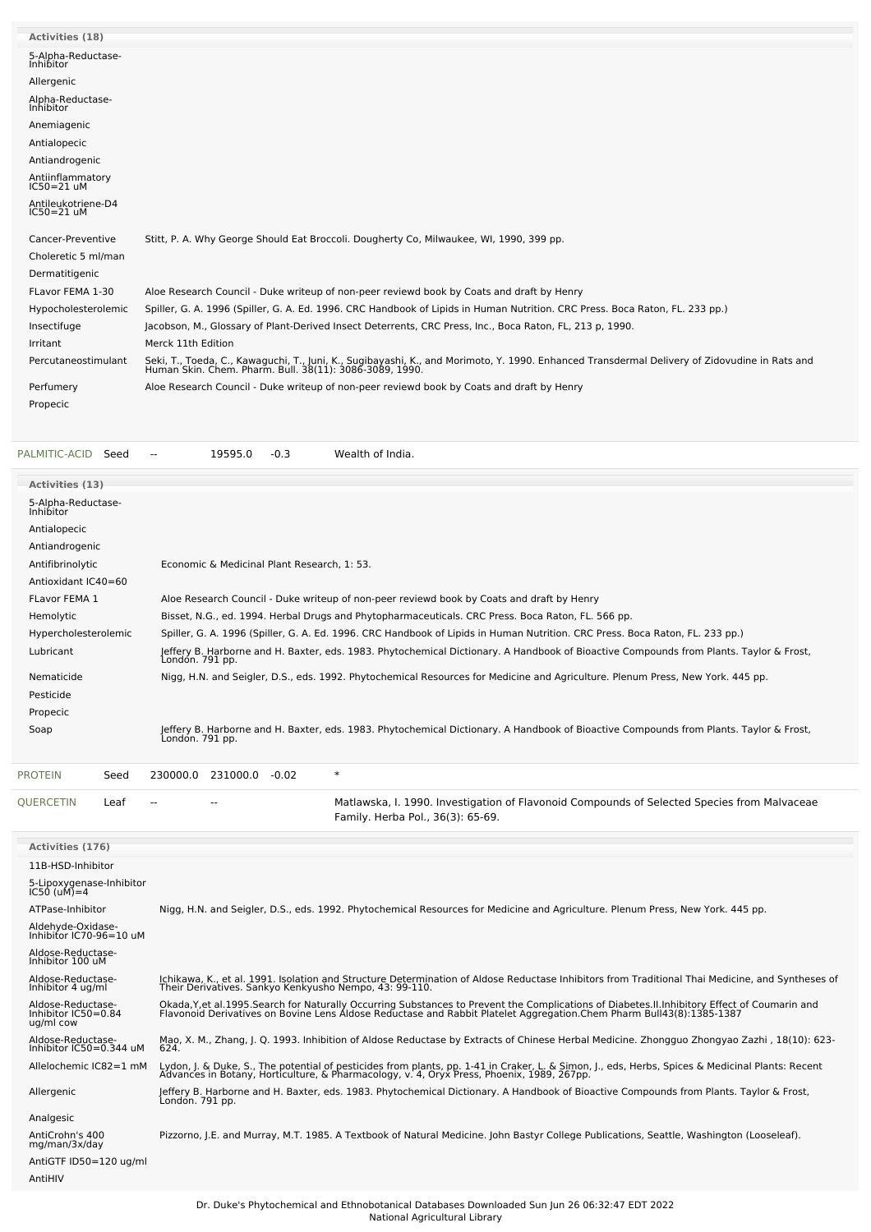| <b>Activities (18)</b>             |                                                                                                                                                                                                          |
|------------------------------------|----------------------------------------------------------------------------------------------------------------------------------------------------------------------------------------------------------|
| 5-Alpha-Reductase-<br>Inhibitor    |                                                                                                                                                                                                          |
| Allergenic                         |                                                                                                                                                                                                          |
| Alpha-Reductase-<br>Inhibitor      |                                                                                                                                                                                                          |
| Anemiagenic                        |                                                                                                                                                                                                          |
| Antialopecic                       |                                                                                                                                                                                                          |
| Antiandrogenic                     |                                                                                                                                                                                                          |
| Antiinflammatory<br>IC50=21 uM     |                                                                                                                                                                                                          |
| Antileukotriene-D4<br>$IC50=21$ uM |                                                                                                                                                                                                          |
| Cancer-Preventive                  | Stitt, P. A. Why George Should Eat Broccoli. Dougherty Co, Milwaukee, WI, 1990, 399 pp.                                                                                                                  |
| Choleretic 5 ml/man                |                                                                                                                                                                                                          |
| Dermatitigenic                     |                                                                                                                                                                                                          |
| FLavor FEMA 1-30                   | Aloe Research Council - Duke writeup of non-peer reviewd book by Coats and draft by Henry                                                                                                                |
|                                    |                                                                                                                                                                                                          |
| Hypocholesterolemic                | Spiller, G. A. 1996 (Spiller, G. A. Ed. 1996. CRC Handbook of Lipids in Human Nutrition. CRC Press. Boca Raton, FL. 233 pp.)                                                                             |
| Insectifuge                        | Jacobson, M., Glossary of Plant-Derived Insect Deterrents, CRC Press, Inc., Boca Raton, FL, 213 p, 1990.                                                                                                 |
| Irritant                           | Merck 11th Edition                                                                                                                                                                                       |
| Percutaneostimulant                | Seki, T., Toeda, C., Kawaguchi, T., Juni, K., Sugibayashi, K., and Morimoto, Y. 1990. Enhanced Transdermal Delivery of Zidovudine in Rats and<br>Human Skin. Chem. Pharm. Bull. 38(11): 3086-3089, 1990. |
| Perfumery                          | Aloe Research Council - Duke writeup of non-peer reviewd book by Coats and draft by Henry                                                                                                                |
| Propecic                           |                                                                                                                                                                                                          |
|                                    |                                                                                                                                                                                                          |
|                                    |                                                                                                                                                                                                          |

[PALMITIC-ACID](file:///phytochem/chemicals/show/13933) Seed -- 19595.0 -0.3 Wealth of India.

| <b>Activities (13)</b>          |                                                                                                                                                           |
|---------------------------------|-----------------------------------------------------------------------------------------------------------------------------------------------------------|
| 5-Alpha-Reductase-<br>Inhibitor |                                                                                                                                                           |
| Antialopecic                    |                                                                                                                                                           |
| Antiandrogenic                  |                                                                                                                                                           |
| Antifibrinolytic                | Economic & Medicinal Plant Research, 1: 53.                                                                                                               |
| Antioxidant IC40=60             |                                                                                                                                                           |
| FLavor FEMA 1                   | Aloe Research Council - Duke writeup of non-peer reviewd book by Coats and draft by Henry                                                                 |
| Hemolytic                       | Bisset, N.G., ed. 1994. Herbal Drugs and Phytopharmaceuticals. CRC Press. Boca Raton, FL. 566 pp.                                                         |
| Hypercholesterolemic            | Spiller, G. A. 1996 (Spiller, G. A. Ed. 1996. CRC Handbook of Lipids in Human Nutrition. CRC Press. Boca Raton, FL. 233 pp.)                              |
| Lubricant                       | Jeffery B. Harborne and H. Baxter, eds. 1983. Phytochemical Dictionary. A Handbook of Bioactive Compounds from Plants. Taylor & Frost,<br>Londón. 791 pp. |
| Nematicide                      | Nigg, H.N. and Seigler, D.S., eds. 1992. Phytochemical Resources for Medicine and Agriculture. Plenum Press, New York. 445 pp.                            |
| Pesticide                       |                                                                                                                                                           |
| Propecic                        |                                                                                                                                                           |
| Soap                            | Jeffery B. Harborne and H. Baxter, eds. 1983. Phytochemical Dictionary. A Handbook of Bioactive Compounds from Plants. Taylor & Frost,<br>Londón. 791 pp. |
|                                 |                                                                                                                                                           |

| <b>PROTEIN</b>   | Seed |        | 230000.0 231000.0 -0.02 |                                                                                                                                  |
|------------------|------|--------|-------------------------|----------------------------------------------------------------------------------------------------------------------------------|
| <b>OUERCETIN</b> | Leaf | $\sim$ | $\sim$                  | Matlawska, I. 1990. Investigation of Flavonoid Compounds of Selected Species from Malvaceae<br>Family. Herba Pol., 36(3): 65-69. |

| <b>Activities (176)</b>                               |                                                                                                                                                                                                                                                                          |
|-------------------------------------------------------|--------------------------------------------------------------------------------------------------------------------------------------------------------------------------------------------------------------------------------------------------------------------------|
| 11B-HSD-Inhibitor                                     |                                                                                                                                                                                                                                                                          |
| 5-Lipoxygenase-Inhibitor<br>IC50 (uM)=4               |                                                                                                                                                                                                                                                                          |
| ATPase-Inhibitor                                      | Nigg, H.N. and Seigler, D.S., eds. 1992. Phytochemical Resources for Medicine and Agriculture. Plenum Press, New York. 445 pp.                                                                                                                                           |
| Aldehyde-Oxidase-<br>Inhibitor IC70-96=10 uM          |                                                                                                                                                                                                                                                                          |
| Aldose-Reductase-<br>Inhibitor 100 uM                 |                                                                                                                                                                                                                                                                          |
| Aldose-Reductase-<br>Inhibitor 4 ug/ml                | Ichikawa, K., et al. 1991. Isolation and Structure Determination of Aldose Reductase Inhibitors from Traditional Thai Medicine, and Syntheses of<br>Their Derivatives. Sankyo Kenkyusho Nempo, 43: 99-110.                                                               |
| Aldose-Reductase-<br>Inhibitor IC50=0.84<br>ug/ml cow | Okada, Y, et al. 1995. Search for Naturally Occurring Substances to Prevent the Complications of Diabetes. II. Inhibitory Effect of Coumarin and<br>Flavonoid Derivatives on Bovine Lens Aldose Reductase and Rabbit Platelet Aggregation.Chem Pharm Bull43(8):1385-1387 |
| Aldose-Reductase-<br>Inhibitor IC50=0.344 uM          | Mao, X. M., Zhang, J. Q. 1993. Inhibition of Aldose Reductase by Extracts of Chinese Herbal Medicine. Zhongguo Zhongyao Zazhi, 18(10): 623-<br>624.                                                                                                                      |
| Allelochemic IC82=1 mM                                | Lydon, J. & Duke, S., The potential of pesticides from plants, pp. 1-41 in Craker, L. & Simon, J., eds, Herbs, Spices & Medicinal Plants: Recent<br>Advances in Botany, Horticulture, & Pharmacology, v. 4, Oryx Press, Phoenix,                                         |
| Allergenic                                            | Jeffery B. Harborne and H. Baxter, eds. 1983. Phytochemical Dictionary. A Handbook of Bioactive Compounds from Plants. Taylor & Frost,<br>Londón. 791 pp.                                                                                                                |
| Analgesic                                             |                                                                                                                                                                                                                                                                          |
| AntiCrohn's 400<br>mg/man/3x/day                      | Pizzorno, J.E. and Murray, M.T. 1985. A Textbook of Natural Medicine. John Bastyr College Publications, Seattle, Washington (Looseleaf).                                                                                                                                 |
| AntiGTF ID50=120 ug/ml                                |                                                                                                                                                                                                                                                                          |
| AntiHIV                                               |                                                                                                                                                                                                                                                                          |
|                                                       |                                                                                                                                                                                                                                                                          |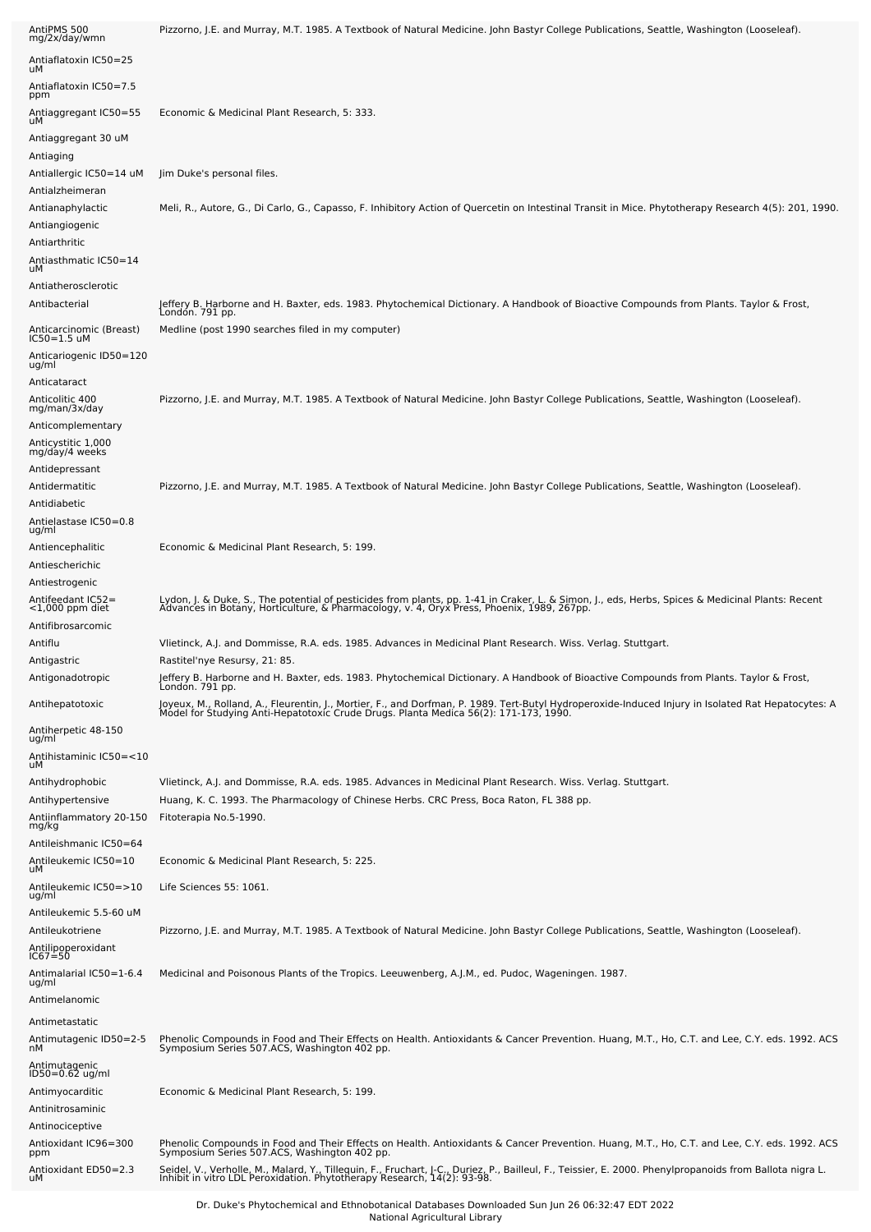| AntiPMS 500<br>mg/2x/day/wmn                | Pizzorno, J.E. and Murray, M.T. 1985. A Textbook of Natural Medicine. John Bastyr College Publications, Seattle, Washington (Looseleaf).                                                                                           |
|---------------------------------------------|------------------------------------------------------------------------------------------------------------------------------------------------------------------------------------------------------------------------------------|
| Antiaflatoxin IC50=25<br>uМ                 |                                                                                                                                                                                                                                    |
| Antiaflatoxin IC50=7.5                      |                                                                                                                                                                                                                                    |
| ppm<br>Antiaggregant IC50=55<br>uМ          | Economic & Medicinal Plant Research, 5: 333.                                                                                                                                                                                       |
| Antiaggregant 30 uM                         |                                                                                                                                                                                                                                    |
| Antiaging                                   |                                                                                                                                                                                                                                    |
| Antiallergic IC50=14 uM                     | Jim Duke's personal files.                                                                                                                                                                                                         |
| Antialzheimeran<br>Antianaphylactic         | Meli, R., Autore, G., Di Carlo, G., Capasso, F. Inhibitory Action of Quercetin on Intestinal Transit in Mice. Phytotherapy Research 4(5): 201, 1990.                                                                               |
| Antiangiogenic                              |                                                                                                                                                                                                                                    |
| Antiarthritic                               |                                                                                                                                                                                                                                    |
| Antiasthmatic IC50=14<br>uМ                 |                                                                                                                                                                                                                                    |
| Antiatherosclerotic                         |                                                                                                                                                                                                                                    |
| Antibacterial                               | Jeffery B. Harborne and H. Baxter, eds. 1983. Phytochemical Dictionary. A Handbook of Bioactive Compounds from Plants. Taylor & Frost,<br>London. 791 pp.                                                                          |
| Anticarcinomic (Breast)<br>$IC50=1.5$ uM    | Medline (post 1990 searches filed in my computer)                                                                                                                                                                                  |
| Anticariogenic ID50=120<br>ug/ml            |                                                                                                                                                                                                                                    |
| Anticataract                                |                                                                                                                                                                                                                                    |
| Anticolitic 400<br>mg/man/3x/day            | Pizzorno, J.E. and Murray, M.T. 1985. A Textbook of Natural Medicine. John Bastyr College Publications, Seattle, Washington (Looseleaf).                                                                                           |
| Anticomplementary                           |                                                                                                                                                                                                                                    |
| Anticystitic 1,000                          |                                                                                                                                                                                                                                    |
| mg/day/4 weeks<br>Antidepressant            |                                                                                                                                                                                                                                    |
| Antidermatitic                              | Pizzorno, J.E. and Murray, M.T. 1985. A Textbook of Natural Medicine. John Bastyr College Publications, Seattle, Washington (Looseleaf).                                                                                           |
| Antidiabetic                                |                                                                                                                                                                                                                                    |
| Antielastase IC50=0.8<br>ug/ml              |                                                                                                                                                                                                                                    |
| Antiencephalitic                            | Economic & Medicinal Plant Research, 5: 199.                                                                                                                                                                                       |
| Antiescherichic                             |                                                                                                                                                                                                                                    |
| Antiestrogenic                              |                                                                                                                                                                                                                                    |
| Antifeedant IC52=<br><1,000 ppm diet        | Lydon, J. & Duke, S., The potential of pesticides from plants, pp. 1-41 in Craker, L. & Simon, J., eds, Herbs, Spices & Medicinal Plants: Recent<br>Advances in Botany, Horticulture, & Pharmacology, v. 4, Oryx Press, Phoenix,   |
| Antifibrosarcomic                           |                                                                                                                                                                                                                                    |
| Antiflu                                     | Vlietinck, A.J. and Dommisse, R.A. eds. 1985. Advances in Medicinal Plant Research. Wiss. Verlag. Stuttgart.                                                                                                                       |
| Antigastric<br>Antigonadotropic             | Rastitel'nye Resursy, 21: 85.<br>Jeffery B. Harborne and H. Baxter, eds. 1983. Phytochemical Dictionary. A Handbook of Bioactive Compounds from Plants. Taylor & Frost,<br>Londón. 791 pp.                                         |
| Antihepatotoxic                             | Joyeux, M., Rolland, A., Fleurentin, J., Mortier, F., and Dorfman, P. 1989. Tert-Butyl Hydroperoxide-Induced Injury in Isolated Rat Hepatocytes: A<br>Model for Studying Anti-Hepatotoxic Crude Drugs. Planta Medica 56(2): 171-1  |
| Antiherpetic 48-150<br>ug/ml                |                                                                                                                                                                                                                                    |
| Antihistaminic IC50=<10<br>uМ               |                                                                                                                                                                                                                                    |
| Antihydrophobic                             | Vlietinck, A.J. and Dommisse, R.A. eds. 1985. Advances in Medicinal Plant Research. Wiss. Verlag. Stuttgart.                                                                                                                       |
| Antihypertensive<br>Antiinflammatory 20-150 | Huang, K. C. 1993. The Pharmacology of Chinese Herbs. CRC Press, Boca Raton, FL 388 pp.<br>Fitoterapia No.5-1990.                                                                                                                  |
| mg/kg                                       |                                                                                                                                                                                                                                    |
| Antileishmanic IC50=64                      | Economic & Medicinal Plant Research, 5: 225.                                                                                                                                                                                       |
| Antileukemic IC50=10<br>uМ                  |                                                                                                                                                                                                                                    |
| Antileukemic IC50=>10<br>ug/ml              | Life Sciences 55: 1061.                                                                                                                                                                                                            |
| Antileukemic 5.5-60 uM                      |                                                                                                                                                                                                                                    |
| Antileukotriene                             | Pizzorno, J.E. and Murray, M.T. 1985. A Textbook of Natural Medicine. John Bastyr College Publications, Seattle, Washington (Looseleaf).                                                                                           |
| Antilipoperoxidant<br>IC67=50               |                                                                                                                                                                                                                                    |
| Antimalarial IC50=1-6.4<br>ug/ml            | Medicinal and Poisonous Plants of the Tropics. Leeuwenberg, A.J.M., ed. Pudoc, Wageningen. 1987.                                                                                                                                   |
| Antimelanomic                               |                                                                                                                                                                                                                                    |
| Antimetastatic                              |                                                                                                                                                                                                                                    |
| Antimutagenic ID50=2-5<br>nМ                | Phenolic Compounds in Food and Their Effects on Health. Antioxidants & Cancer Prevention. Huang, M.T., Ho, C.T. and Lee, C.Y. eds. 1992. ACS<br>Symposium Series 507.ACS, Washington 402 pp.                                       |
| Antimutagenic<br>ID50=0.62 ug/ml            |                                                                                                                                                                                                                                    |
| Antimyocarditic                             | Economic & Medicinal Plant Research, 5: 199.                                                                                                                                                                                       |
| Antinitrosaminic<br>Antinociceptive         |                                                                                                                                                                                                                                    |
| Antioxidant IC96=300                        | Phenolic Compounds in Food and Their Effects on Health. Antioxidants & Cancer Prevention. Huang, M.T., Ho, C.T. and Lee, C.Y. eds. 1992. ACS                                                                                       |
| ppm                                         | Symposium Series 507.ACS, Washington 402 pp.                                                                                                                                                                                       |
| Antioxidant ED50=2.3<br>uМ                  | Seidel, V., Verholle, M., Malard, Y., Tillequin, F., Fruchart, J.C., Duriez, P., Bailleul, F., Teissier, E. 2000. Phenylpropanoids from Ballota nigra L.<br>Inhibit in vitro LDL Peroxidation. Phytotherapy Research, 14(2): 93-98 |

Dr. Duke's Phytochemical and Ethnobotanical Databases Downloaded Sun Jun 26 06:32:47 EDT 2022 National Agricultural Library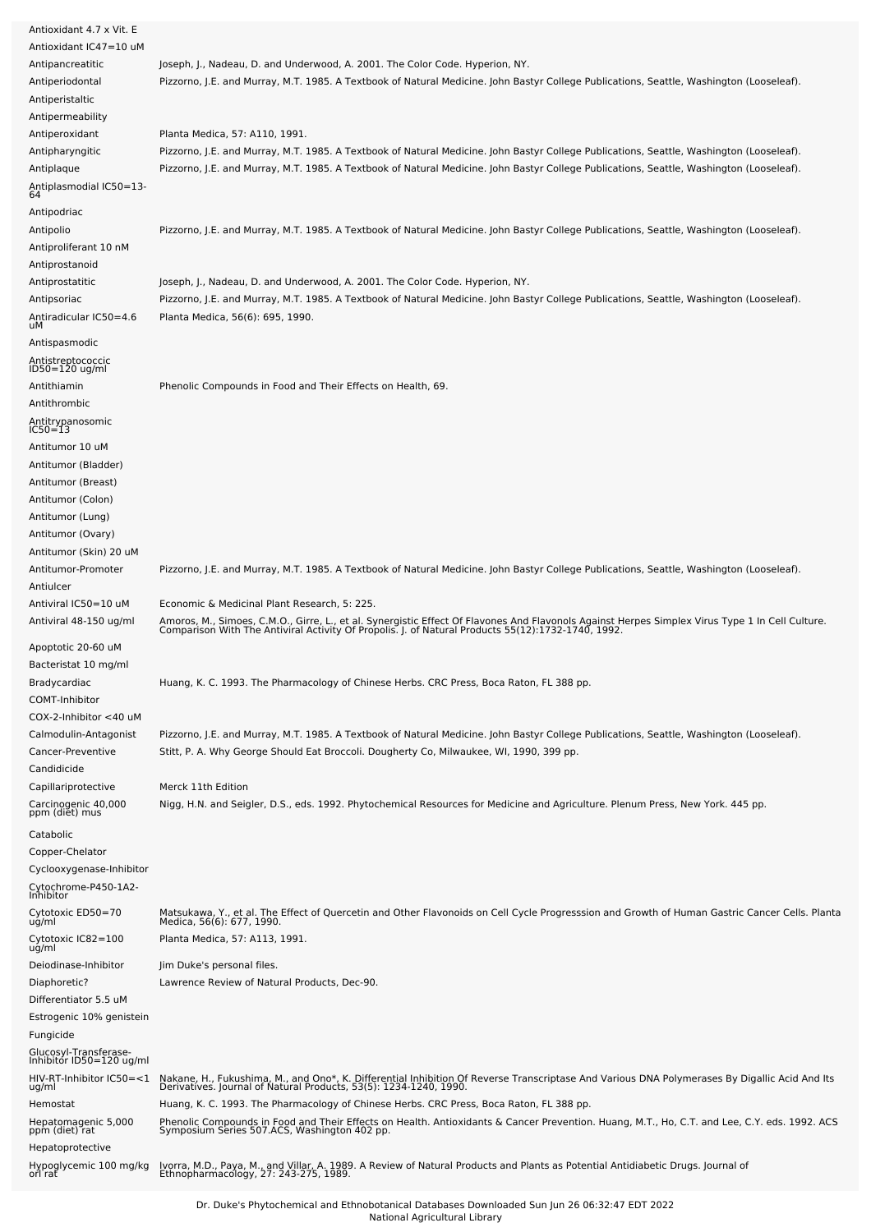| Antioxidant 4.7 x Vit. E                          |                                                                                                                                                                                                                                   |
|---------------------------------------------------|-----------------------------------------------------------------------------------------------------------------------------------------------------------------------------------------------------------------------------------|
| Antioxidant IC47=10 uM                            |                                                                                                                                                                                                                                   |
| Antipancreatitic                                  | Joseph, J., Nadeau, D. and Underwood, A. 2001. The Color Code. Hyperion, NY.                                                                                                                                                      |
| Antiperiodontal                                   | Pizzorno, J.E. and Murray, M.T. 1985. A Textbook of Natural Medicine. John Bastyr College Publications, Seattle, Washington (Looseleaf).                                                                                          |
| Antiperistaltic                                   |                                                                                                                                                                                                                                   |
| Antipermeability                                  |                                                                                                                                                                                                                                   |
| Antiperoxidant                                    | Planta Medica, 57: A110, 1991.                                                                                                                                                                                                    |
| Antipharyngitic                                   | Pizzorno, J.E. and Murray, M.T. 1985. A Textbook of Natural Medicine. John Bastyr College Publications, Seattle, Washington (Looseleaf).                                                                                          |
| Antiplaque                                        | Pizzorno, J.E. and Murray, M.T. 1985. A Textbook of Natural Medicine. John Bastyr College Publications, Seattle, Washington (Looseleaf).                                                                                          |
| -4.Antiplasmodial IC50=13<br>64                   |                                                                                                                                                                                                                                   |
| Antipodriac                                       |                                                                                                                                                                                                                                   |
| Antipolio                                         | Pizzorno, J.E. and Murray, M.T. 1985. A Textbook of Natural Medicine. John Bastyr College Publications, Seattle, Washington (Looseleaf).                                                                                          |
| Antiproliferant 10 nM                             |                                                                                                                                                                                                                                   |
| Antiprostanoid                                    |                                                                                                                                                                                                                                   |
| Antiprostatitic                                   | Joseph, J., Nadeau, D. and Underwood, A. 2001. The Color Code. Hyperion, NY.                                                                                                                                                      |
| Antipsoriac                                       | Pizzorno, J.E. and Murray, M.T. 1985. A Textbook of Natural Medicine. John Bastyr College Publications, Seattle, Washington (Looseleaf).                                                                                          |
| Antiradicular IC50=4.6<br>uМ                      | Planta Medica, 56(6): 695, 1990.                                                                                                                                                                                                  |
| Antispasmodic                                     |                                                                                                                                                                                                                                   |
| Antistreptococcic                                 |                                                                                                                                                                                                                                   |
| ID50=120 ug/ml                                    |                                                                                                                                                                                                                                   |
| Antithiamin                                       | Phenolic Compounds in Food and Their Effects on Health, 69.                                                                                                                                                                       |
| Antithrombic                                      |                                                                                                                                                                                                                                   |
| Antitrypanosomic<br>IC50=13                       |                                                                                                                                                                                                                                   |
| Antitumor 10 uM                                   |                                                                                                                                                                                                                                   |
| Antitumor (Bladder)                               |                                                                                                                                                                                                                                   |
| Antitumor (Breast)                                |                                                                                                                                                                                                                                   |
| Antitumor (Colon)                                 |                                                                                                                                                                                                                                   |
| Antitumor (Lung)                                  |                                                                                                                                                                                                                                   |
| Antitumor (Ovary)                                 |                                                                                                                                                                                                                                   |
| Antitumor (Skin) 20 uM                            |                                                                                                                                                                                                                                   |
| Antitumor-Promoter                                | Pizzorno, J.E. and Murray, M.T. 1985. A Textbook of Natural Medicine. John Bastyr College Publications, Seattle, Washington (Looseleaf).                                                                                          |
| Antiulcer                                         |                                                                                                                                                                                                                                   |
| Antiviral IC50=10 uM                              | Economic & Medicinal Plant Research, 5: 225.                                                                                                                                                                                      |
| Antiviral 48-150 ug/ml                            | Amoros, M., Simoes, C.M.O., Girre, L., et al. Synergistic Effect Of Flavones And Flavonols Against Herpes Simplex Virus Type 1 In Cell Culture.<br>Comparison With The Antiviral Activity Of Propolis. J. of Natural Products 55( |
|                                                   |                                                                                                                                                                                                                                   |
| Apoptotic 20-60 uM                                |                                                                                                                                                                                                                                   |
| Bacteristat 10 mg/ml                              |                                                                                                                                                                                                                                   |
| Bradycardiac                                      | Huang, K. C. 1993. The Pharmacology of Chinese Herbs. CRC Press, Boca Raton, FL 388 pp.                                                                                                                                           |
| COMT-Inhibitor                                    |                                                                                                                                                                                                                                   |
| COX-2-Inhibitor <40 uM                            |                                                                                                                                                                                                                                   |
| Calmodulin-Antagonist                             | Pizzorno, J.E. and Murray, M.T. 1985. A Textbook of Natural Medicine. John Bastyr College Publications, Seattle, Washington (Looseleaf).                                                                                          |
| Cancer-Preventive                                 | Stitt, P. A. Why George Should Eat Broccoli. Dougherty Co, Milwaukee, WI, 1990, 399 pp.                                                                                                                                           |
| Candidicide<br>Capillariprotective                | Merck 11th Edition                                                                                                                                                                                                                |
| Carcinogenic 40,000                               | Nigg, H.N. and Seigler, D.S., eds. 1992. Phytochemical Resources for Medicine and Agriculture. Plenum Press, New York. 445 pp.                                                                                                    |
| ppm (diet) mus                                    |                                                                                                                                                                                                                                   |
| Catabolic                                         |                                                                                                                                                                                                                                   |
| Copper-Chelator                                   |                                                                                                                                                                                                                                   |
| Cyclooxygenase-Inhibitor                          |                                                                                                                                                                                                                                   |
| Cytochrome-P450-1A2-                              |                                                                                                                                                                                                                                   |
| Inhibitor                                         |                                                                                                                                                                                                                                   |
| Cytotoxic ED50=70<br>ug/ml                        | Matsukawa, Y., et al. The Effect of Quercetin and Other Flavonoids on Cell Cycle Progresssion and Growth of Human Gastric Cancer Cells. Planta<br>Medica, 56(6): 677, 1990.                                                       |
| Cytotoxic IC82=100                                | Planta Medica, 57: A113, 1991.                                                                                                                                                                                                    |
| ug/ml                                             |                                                                                                                                                                                                                                   |
| Deiodinase-Inhibitor                              | Jim Duke's personal files.                                                                                                                                                                                                        |
| Diaphoretic?<br>Differentiator 5.5 uM             | Lawrence Review of Natural Products, Dec-90.                                                                                                                                                                                      |
| Estrogenic 10% genistein                          |                                                                                                                                                                                                                                   |
| Fungicide                                         |                                                                                                                                                                                                                                   |
|                                                   |                                                                                                                                                                                                                                   |
| Glucosyl-Transferase-<br>Inhibitor ID50=120 ug/ml |                                                                                                                                                                                                                                   |
| HIV-RT-Inhibitor IC50=<1<br>ug/ml                 | Nakane, H., Fukushima, M., and Ono*, K. Differential Inhibition Of Reverse Transcriptase And Various DNA Polymerases By Digallic Acid And Its<br>Derivatives. Journal of Natural Products, 53(5): 1234-1240, 1990.                |
| Hemostat                                          | Huang, K. C. 1993. The Pharmacology of Chinese Herbs. CRC Press, Boca Raton, FL 388 pp.                                                                                                                                           |
| Hepatomagenic 5,000                               |                                                                                                                                                                                                                                   |
| ppm (diet) rat                                    | Phenolic Compounds in Food and Their Effects on Health. Antioxidants & Cancer Prevention. Huang, M.T., Ho, C.T. and Lee, C.Y. eds. 1992. ACS<br>Symposium Series 507.ACS, Washington 402 pp.                                      |
| Hepatoprotective                                  |                                                                                                                                                                                                                                   |
| Hypoglycemic 100 mg/kg<br>orl rat                 | Ivorra, M.D., Paya, M., and Villar, A. 1989. A Review of Natural Products and Plants as Potential Antidiabetic Drugs. Journal of<br>Ethnopharmacology, 27: 243-275, 1989.                                                         |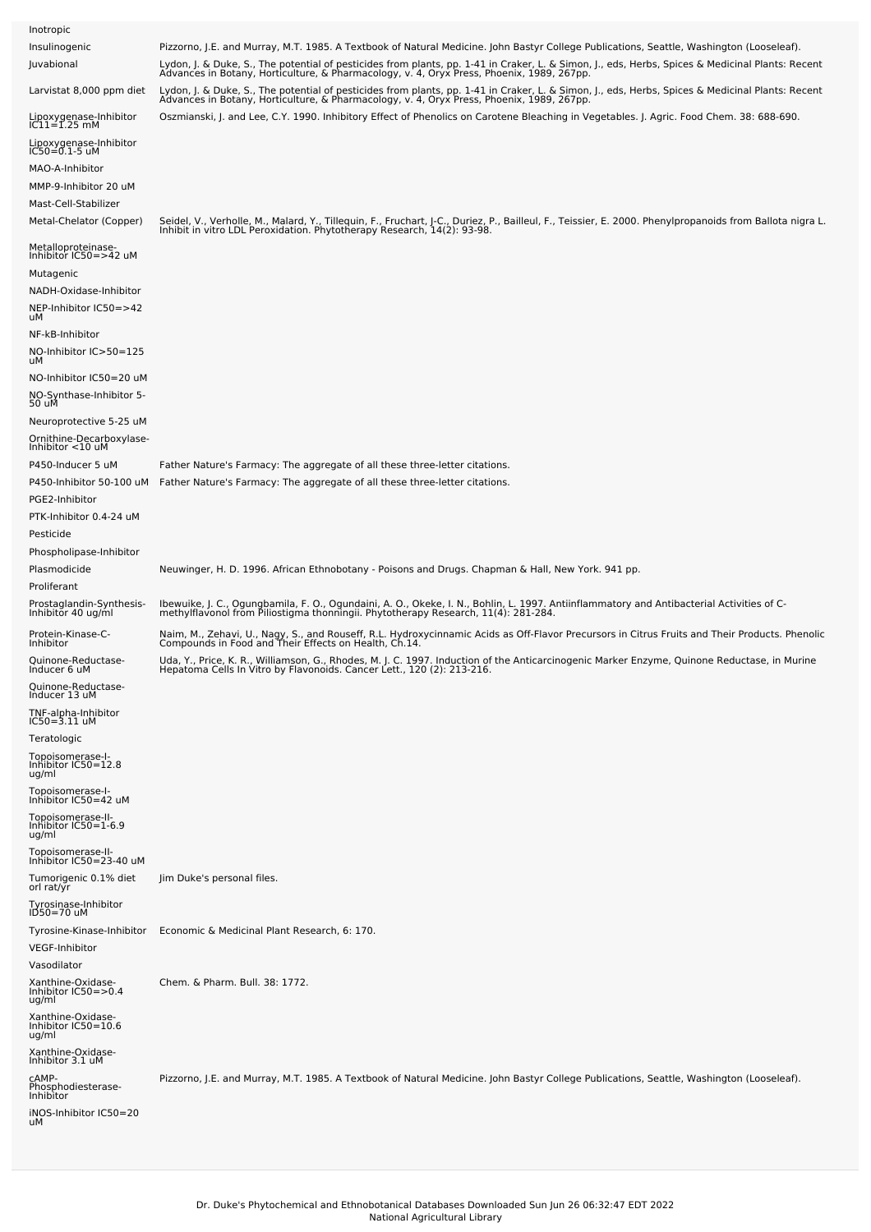| Inotropic                                            |                                                                                                                                                                                                                                   |
|------------------------------------------------------|-----------------------------------------------------------------------------------------------------------------------------------------------------------------------------------------------------------------------------------|
| Insulinogenic                                        | Pizzorno, J.E. and Murray, M.T. 1985. A Textbook of Natural Medicine. John Bastyr College Publications, Seattle, Washington (Looseleaf).                                                                                          |
| Juvabional                                           | Lydon, J. & Duke, S., The potential of pesticides from plants, pp. 1-41 in Craker, L. & Simon, J., eds, Herbs, Spices & Medicinal Plants: Recent<br>Advances in Botany, Horticulture, & Pharmacology, v. 4, Oryx Press, Phoenix,  |
| Larvistat 8,000 ppm diet                             | Lydon, J. & Duke, S., The potential of pesticides from plants, pp. 1-41 in Craker, L. & Simon, J., eds, Herbs, Spices & Medicinal Plants: Recent<br>Advances in Botany, Horticulture, & Pharmacology, v. 4, Oryx Press, Phoenix,  |
| Lipoxygenase-Inhibitor<br>IC11=1.25 mM               | Oszmianski, J. and Lee, C.Y. 1990. Inhibitory Effect of Phenolics on Carotene Bleaching in Vegetables. J. Agric. Food Chem. 38: 688-690.                                                                                          |
| Lipoxygenase-Inhibitor<br>IC50=0.1-5 uM              |                                                                                                                                                                                                                                   |
| MAO-A-Inhibitor                                      |                                                                                                                                                                                                                                   |
| MMP-9-Inhibitor 20 uM                                |                                                                                                                                                                                                                                   |
| Mast-Cell-Stabilizer                                 |                                                                                                                                                                                                                                   |
| Metal-Chelator (Copper)                              | Seidel, V., Verholle, M., Malard, Y., Tillequin, F., Fruchart, J-C., Duriez, P., Bailleul, F., Teissier, E. 2000. Phenylpropanoids from Ballota nigra L.<br>Inhibit in vitro LDL Peroxidation. Phytotherapy Research, 14(2): 93-9 |
| Metalloproteinase-<br>Inhibitor IC50=>42 uM          |                                                                                                                                                                                                                                   |
| Mutagenic                                            |                                                                                                                                                                                                                                   |
| NADH-Oxidase-Inhibitor                               |                                                                                                                                                                                                                                   |
| NEP-Inhibitor IC50=>42<br>uМ                         |                                                                                                                                                                                                                                   |
| NF-kB-Inhibitor                                      |                                                                                                                                                                                                                                   |
| NO-Inhibitor IC>50=125<br>uМ                         |                                                                                                                                                                                                                                   |
| NO-Inhibitor IC50=20 uM                              |                                                                                                                                                                                                                                   |
| NO-Synthase-Inhibitor 5-<br>50 uM                    |                                                                                                                                                                                                                                   |
| Neuroprotective 5-25 uM                              |                                                                                                                                                                                                                                   |
| Ornithine-Decarboxylase-<br>Inhibitor <10 uM         |                                                                                                                                                                                                                                   |
| P450-Inducer 5 uM                                    | Father Nature's Farmacy: The aggregate of all these three-letter citations.                                                                                                                                                       |
| P450-Inhibitor 50-100 uM                             | Father Nature's Farmacy: The aggregate of all these three-letter citations.                                                                                                                                                       |
| PGE2-Inhibitor                                       |                                                                                                                                                                                                                                   |
| PTK-Inhibitor 0.4-24 uM                              |                                                                                                                                                                                                                                   |
| Pesticide<br>Phospholipase-Inhibitor                 |                                                                                                                                                                                                                                   |
| Plasmodicide                                         | Neuwinger, H. D. 1996. African Ethnobotany - Poisons and Drugs. Chapman & Hall, New York. 941 pp.                                                                                                                                 |
| Proliferant                                          |                                                                                                                                                                                                                                   |
| Prostaglandin-Synthesis-<br>Inhibitor 40 ug/ml       | Ibewuike, J. C., Ogungbamila, F. O., Ogundaini, A. O., Okeke, I. N., Bohlin, L. 1997. Antiinflammatory and Antibacterial Activities of C-<br>methylflavonol from Piliostigma thonningii. Phytotherapy Research, 11(4): 281-284.   |
| Protein-Kinase-C-<br>Inhibitor                       | Naim, M., Zehavi, U., Nagy, S., and Rouseff, R.L. Hydroxycinnamic Acids as Off-Flavor Precursors in Citrus Fruits and Their Products. Phenolic<br>Compounds in Food and Their Effects on Health, Ch.14.                           |
| Quinone-Reductase-<br>Inducer 6 uM                   | Uda, Y., Price, K. R., Williamson, G., Rhodes, M. J. C. 1997. Induction of the Anticarcinogenic Marker Enzyme, Quinone Reductase, in Murine<br>Hepatoma Cells In Vitro by Flavonoids. Cancer Lett., 120 (2): 213-216.             |
| Quinone-Reductase-<br>Inducer 13 uM                  |                                                                                                                                                                                                                                   |
| TNF-alpha-Inhibitor<br>$IC50 = 3.11$ uM              |                                                                                                                                                                                                                                   |
| Teratologic                                          |                                                                                                                                                                                                                                   |
| Topoisomerase-I-<br>Inhibitor IC50=12.8              |                                                                                                                                                                                                                                   |
| ug/ml                                                |                                                                                                                                                                                                                                   |
|                                                      |                                                                                                                                                                                                                                   |
| Topoisomerase-I-<br>Inhibitor IC50=42 uM             |                                                                                                                                                                                                                                   |
| Topoisomerase-II-<br>Inhibitor $IC50=1-6.9$<br>ug/ml |                                                                                                                                                                                                                                   |
| Topoisomerase-II-<br>Inhibitor IC50=23-40 uM         |                                                                                                                                                                                                                                   |
| Tumorigenic 0.1% diet<br>orl rat/yr                  | Jim Duke's personal files.                                                                                                                                                                                                        |
| Tyrosinase-Inhibitor<br>ID50=70 uM                   |                                                                                                                                                                                                                                   |
| Tyrosine-Kinase-Inhibitor                            | Economic & Medicinal Plant Research, 6: 170.                                                                                                                                                                                      |
| VEGF-Inhibitor                                       |                                                                                                                                                                                                                                   |
| Vasodilator                                          |                                                                                                                                                                                                                                   |
| Xanthine-Oxidase-<br>Inhibitor IC50=>0.4<br>ug/ml    | Chem. & Pharm. Bull. 38: 1772.                                                                                                                                                                                                    |
| Xanthine-Oxidase-<br>Inhibitor IC50=10.6<br>ug/ml    |                                                                                                                                                                                                                                   |
| Xanthine-Oxidase-<br>Inhibitor 3.1 uM                |                                                                                                                                                                                                                                   |
| CAMP-<br>Phosphodiesterase-<br>Inhibitor             | Pizzorno, J.E. and Murray, M.T. 1985. A Textbook of Natural Medicine. John Bastyr College Publications, Seattle, Washington (Looseleaf).                                                                                          |
| iNOS-Inhibitor IC50=20<br>uМ                         |                                                                                                                                                                                                                                   |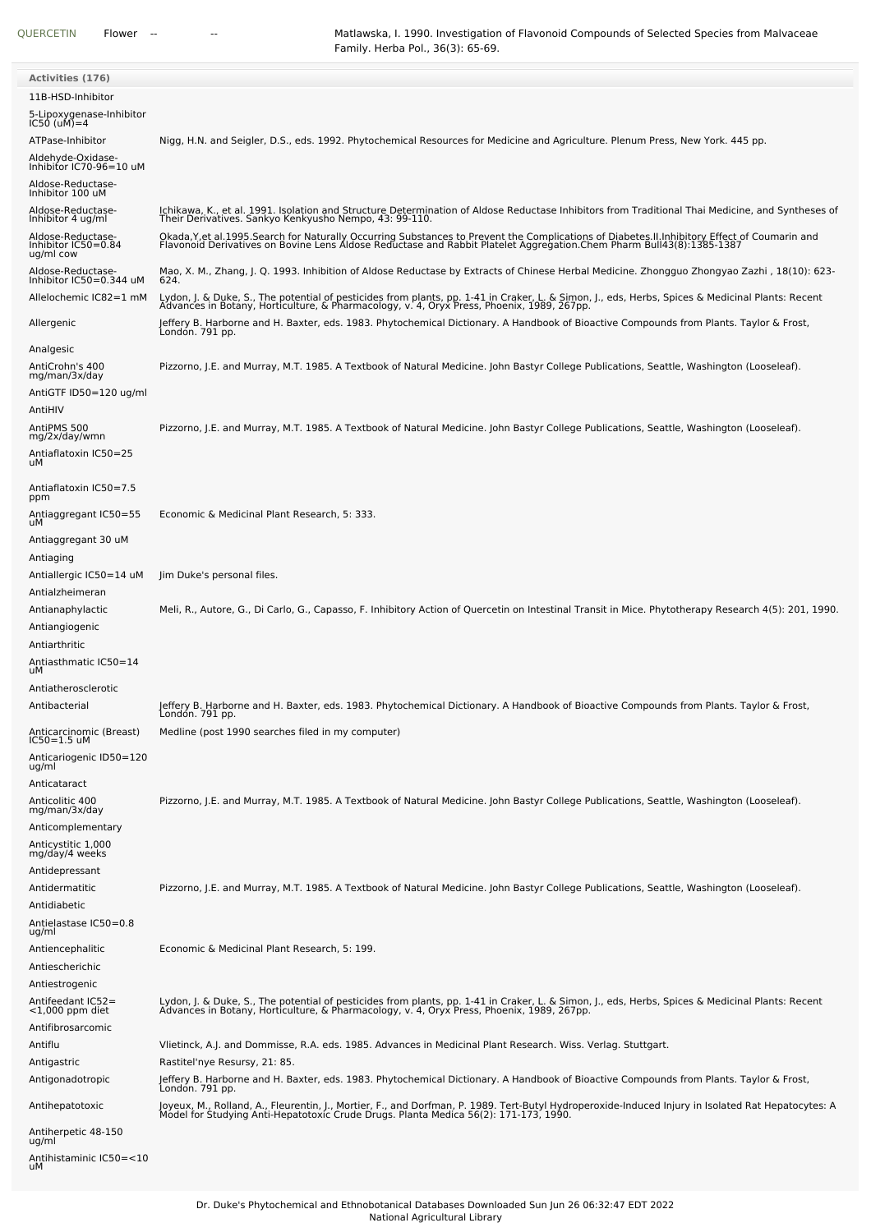| <b>Activities (176)</b>                               |                                                                                                                                                                                                                                                                    |
|-------------------------------------------------------|--------------------------------------------------------------------------------------------------------------------------------------------------------------------------------------------------------------------------------------------------------------------|
| 11B-HSD-Inhibitor                                     |                                                                                                                                                                                                                                                                    |
| 5-Lipoxygenase-Inhibitor<br>$IC50$ (uM) = 4           |                                                                                                                                                                                                                                                                    |
| ATPase-Inhibitor                                      | Nigg, H.N. and Seigler, D.S., eds. 1992. Phytochemical Resources for Medicine and Agriculture. Plenum Press, New York. 445 pp.                                                                                                                                     |
| Aldehyde-Oxidase-<br>Inhibitor IC70-96=10 uM          |                                                                                                                                                                                                                                                                    |
| Aldose-Reductase-<br>Inhibitor 100 uM                 |                                                                                                                                                                                                                                                                    |
| Aldose-Reductase-<br>Inhibitor 4 ug/ml                | Ichikawa, K., et al. 1991. Isolation and Structure Determination of Aldose Reductase Inhibitors from Traditional Thai Medicine, and Syntheses of<br>Their Derivatives. Sankyo Kenkyusho Nempo, 43: 99-110.                                                         |
| Aldose-Reductase-<br>Inhibitor IC50=0.84<br>ug/ml cow | Okada,Y,et al.1995.Search for Naturally Occurring Substances to Prevent the Complications of Diabetes.II.Inhibitory Effect of Coumarin and<br>Flavonoid Derivatives on Bovine Lens Aldose Reductase and Rabbit Platelet Aggregation.Chem Pharm Bull43(8):1385-1387 |
| Aldose-Reductase-<br>Inhibitor IC50=0.344 uM          | Mao, X. M., Zhang, J. Q. 1993. Inhibition of Aldose Reductase by Extracts of Chinese Herbal Medicine. Zhongguo Zhongyao Zazhi , 18(10): 623-<br>624.                                                                                                               |
| Allelochemic IC82=1 mM                                | Lydon, J. & Duke, S., The potential of pesticides from plants, pp. 1-41 in Craker, L. & Simon, J., eds, Herbs, Spices & Medicinal Plants: Recent<br>Advances in Botany, Horticulture, & Pharmacology, v. 4, Oryx Press, Phoenix, 1989, 267pp.                      |
| Allergenic                                            | Jeffery B. Harborne and H. Baxter, eds. 1983. Phytochemical Dictionary. A Handbook of Bioactive Compounds from Plants. Taylor & Frost,<br>London. 791 pp.                                                                                                          |
| Analgesic                                             |                                                                                                                                                                                                                                                                    |
| AntiCrohn's 400                                       | Pizzorno, J.E. and Murray, M.T. 1985. A Textbook of Natural Medicine. John Bastyr College Publications, Seattle, Washington (Looseleaf).                                                                                                                           |
| mg/man/3x/day                                         |                                                                                                                                                                                                                                                                    |
| AntiGTF ID50=120 ug/ml<br>AntiHIV                     |                                                                                                                                                                                                                                                                    |
| AntiPMS 500                                           | Pizzorno, J.E. and Murray, M.T. 1985. A Textbook of Natural Medicine. John Bastyr College Publications, Seattle, Washington (Looseleaf).                                                                                                                           |
| mg/2x/day/wmn                                         |                                                                                                                                                                                                                                                                    |
| Antiaflatoxin IC50=25<br>uМ                           |                                                                                                                                                                                                                                                                    |
| Antiaflatoxin IC50=7.5<br>ppm                         |                                                                                                                                                                                                                                                                    |
| Antiaggregant IC50=55<br>uМ                           | Economic & Medicinal Plant Research, 5: 333.                                                                                                                                                                                                                       |
| Antiaggregant 30 uM                                   |                                                                                                                                                                                                                                                                    |
| Antiaging                                             |                                                                                                                                                                                                                                                                    |
| Antiallergic IC50=14 uM                               | Jim Duke's personal files.                                                                                                                                                                                                                                         |
| Antialzheimeran                                       |                                                                                                                                                                                                                                                                    |
| Antianaphylactic                                      | Meli, R., Autore, G., Di Carlo, G., Capasso, F. Inhibitory Action of Quercetin on Intestinal Transit in Mice. Phytotherapy Research 4(5): 201, 1990.                                                                                                               |
| Antiangiogenic                                        |                                                                                                                                                                                                                                                                    |
| Antiarthritic                                         |                                                                                                                                                                                                                                                                    |
| Antiasthmatic IC50=14<br>uМ                           |                                                                                                                                                                                                                                                                    |
| Antiatherosclerotic                                   |                                                                                                                                                                                                                                                                    |
| Antibacterial                                         | Jeffery B. Harborne and H. Baxter, eds. 1983. Phytochemical Dictionary. A Handbook of Bioactive Compounds from Plants. Taylor & Frost,<br>London. 791 pp.                                                                                                          |
| Anticarcinomic (Breast)<br>$IC50=1.5$ uM              | Medline (post 1990 searches filed in my computer)                                                                                                                                                                                                                  |
| Anticariogenic ID50=120                               |                                                                                                                                                                                                                                                                    |
| ug/ml                                                 |                                                                                                                                                                                                                                                                    |
| Anticataract                                          |                                                                                                                                                                                                                                                                    |
| Anticolitic 400<br>mg/man/3x/day                      | Pizzorno, J.E. and Murray, M.T. 1985. A Textbook of Natural Medicine. John Bastyr College Publications, Seattle, Washington (Looseleaf).                                                                                                                           |
| Anticomplementary                                     |                                                                                                                                                                                                                                                                    |
| Anticystitic 1,000<br>mg/day/4 weeks                  |                                                                                                                                                                                                                                                                    |
| Antidepressant                                        |                                                                                                                                                                                                                                                                    |
| Antidermatitic                                        | Pizzorno, J.E. and Murray, M.T. 1985. A Textbook of Natural Medicine. John Bastyr College Publications, Seattle, Washington (Looseleaf).                                                                                                                           |
| Antidiabetic                                          |                                                                                                                                                                                                                                                                    |
| Antielastase IC50=0.8<br>ug/ml                        |                                                                                                                                                                                                                                                                    |
| Antiencephalitic                                      | Economic & Medicinal Plant Research, 5: 199.                                                                                                                                                                                                                       |
| Antiescherichic                                       |                                                                                                                                                                                                                                                                    |
| Antiestrogenic                                        |                                                                                                                                                                                                                                                                    |
| Antifeedant IC52=<br>$<$ 1,000 ppm diet               | Lydon, J. & Duke, S., The potential of pesticides from plants, pp. 1-41 in Craker, L. & Simon, J., eds, Herbs, Spices & Medicinal Plants: Recent<br>Advances in Botany, Horticulture, & Pharmacology, v. 4, Oryx Press, Phoenix,                                   |
| Antifibrosarcomic                                     |                                                                                                                                                                                                                                                                    |
| Antiflu                                               | Vlietinck, A.J. and Dommisse, R.A. eds. 1985. Advances in Medicinal Plant Research. Wiss. Verlag. Stuttgart.                                                                                                                                                       |
| Antigastric                                           | Rastitel'nye Resursy, 21: 85.                                                                                                                                                                                                                                      |
| Antigonadotropic                                      | Jeffery B. Harborne and H. Baxter, eds. 1983. Phytochemical Dictionary. A Handbook of Bioactive Compounds from Plants. Taylor & Frost,<br>Londón. 791 pp.                                                                                                          |
| Antihepatotoxic                                       | Joyeux, M., Rolland, A., Fleurentin, J., Mortier, F., and Dorfman, P. 1989. Tert-Butyl Hydroperoxide-Induced Injury in Isolated Rat Hepatocytes: A<br>Model for Studying Anti-Hepatotoxic Crude Drugs. Planta Medica 56(2): 171-173, 1990.                         |
| Antiherpetic 48-150<br>ug/ml                          |                                                                                                                                                                                                                                                                    |
| Antihistaminic IC50=<10<br>uМ                         |                                                                                                                                                                                                                                                                    |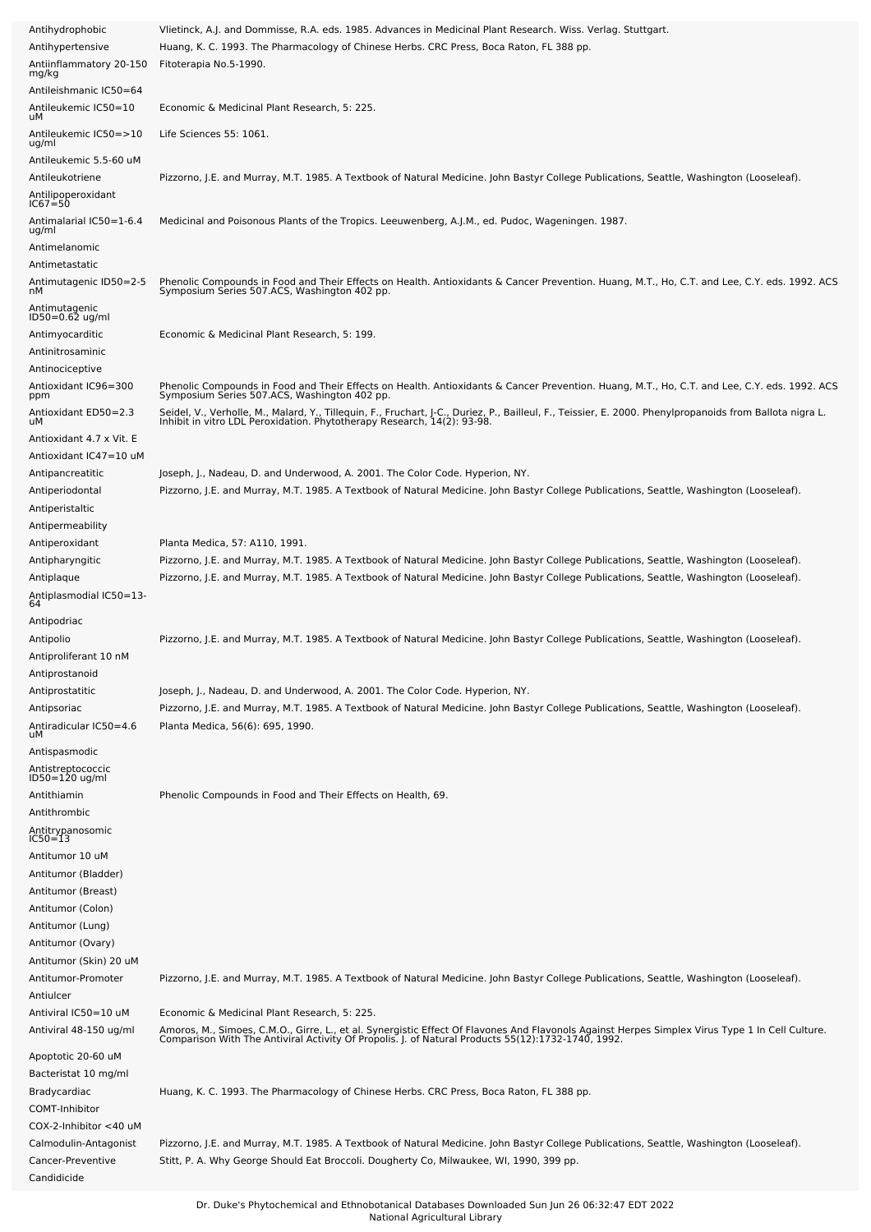| Antihydrophobic                                      | Vlietinck, A.J. and Dommisse, R.A. eds. 1985. Advances in Medicinal Plant Research. Wiss. Verlag. Stuttgart.                                                                                                                                                                         |
|------------------------------------------------------|--------------------------------------------------------------------------------------------------------------------------------------------------------------------------------------------------------------------------------------------------------------------------------------|
| Antihypertensive                                     | Huang, K. C. 1993. The Pharmacology of Chinese Herbs. CRC Press, Boca Raton, FL 388 pp.                                                                                                                                                                                              |
| Antiinflammatory 20-150<br>mg/kg                     | Fitoterapia No.5-1990.                                                                                                                                                                                                                                                               |
| Antileishmanic IC50=64<br>Antileukemic IC50=10<br>uМ | Economic & Medicinal Plant Research, 5: 225.                                                                                                                                                                                                                                         |
| Antileukemic IC50=>10<br>ug/ml                       | Life Sciences 55: 1061.                                                                                                                                                                                                                                                              |
| Antileukemic 5.5-60 uM                               |                                                                                                                                                                                                                                                                                      |
| Antileukotriene<br>Antilipoperoxidant<br>IC67=50     | Pizzorno, J.E. and Murray, M.T. 1985. A Textbook of Natural Medicine. John Bastyr College Publications, Seattle, Washington (Looseleaf).                                                                                                                                             |
| Antimalarial IC50=1-6.4<br>ug/ml                     | Medicinal and Poisonous Plants of the Tropics. Leeuwenberg, A.J.M., ed. Pudoc, Wageningen. 1987.                                                                                                                                                                                     |
| Antimelanomic                                        |                                                                                                                                                                                                                                                                                      |
| Antimetastatic                                       |                                                                                                                                                                                                                                                                                      |
| Antimutagenic ID50=2-5<br>nМ<br>Antimutagenic        | Phenolic Compounds in Food and Their Effects on Health. Antioxidants & Cancer Prevention. Huang, M.T., Ho, C.T. and Lee, C.Y. eds. 1992. ACS<br>Symposium Series 507.ACS, Washington 402 pp.                                                                                         |
| ID50=0.62 ug/ml                                      |                                                                                                                                                                                                                                                                                      |
| Antimyocarditic                                      | Economic & Medicinal Plant Research, 5: 199.                                                                                                                                                                                                                                         |
| Antinitrosaminic                                     |                                                                                                                                                                                                                                                                                      |
| Antinociceptive<br>Antioxidant IC96=300              | Phenolic Compounds in Food and Their Effects on Health. Antioxidants & Cancer Prevention. Huang, M.T., Ho, C.T. and Lee, C.Y. eds. 1992. ACS<br>Symposium Series 507.ACS, Washington 402 pp.                                                                                         |
| ppm<br>Antioxidant ED50=2.3                          |                                                                                                                                                                                                                                                                                      |
| uМ                                                   | Seidel, V., Verholle, M., Malard, Y., Tillequin, F., Fruchart, J-C., Duriez, P., Bailleul, F., Teissier, E. 2000. Phenylpropanoids from Ballota nigra L.<br>Inhibit in vitro LDL Peroxidation. Phytotherapy Research, 14(2): 93-9                                                    |
| Antioxidant 4.7 x Vit. E<br>Antioxidant IC47=10 uM   |                                                                                                                                                                                                                                                                                      |
| Antipancreatitic                                     | Joseph, J., Nadeau, D. and Underwood, A. 2001. The Color Code. Hyperion, NY.                                                                                                                                                                                                         |
| Antiperiodontal<br>Antiperistaltic                   | Pizzorno, J.E. and Murray, M.T. 1985. A Textbook of Natural Medicine. John Bastyr College Publications, Seattle, Washington (Looseleaf).                                                                                                                                             |
| Antipermeability                                     |                                                                                                                                                                                                                                                                                      |
| Antiperoxidant                                       | Planta Medica, 57: A110, 1991.                                                                                                                                                                                                                                                       |
| Antipharyngitic<br>Antiplaque                        | Pizzorno, J.E. and Murray, M.T. 1985. A Textbook of Natural Medicine. John Bastyr College Publications, Seattle, Washington (Looseleaf).<br>Pizzorno, J.E. and Murray, M.T. 1985. A Textbook of Natural Medicine. John Bastyr College Publications, Seattle, Washington (Looseleaf). |
| Antiplasmodial IC50=13-<br>64                        |                                                                                                                                                                                                                                                                                      |
| Antipodriac                                          |                                                                                                                                                                                                                                                                                      |
| Antipolio<br>Antiproliferant 10 nM                   | Pizzorno, J.E. and Murray, M.T. 1985. A Textbook of Natural Medicine. John Bastyr College Publications, Seattle, Washington (Looseleaf).                                                                                                                                             |
| Antiprostanoid                                       |                                                                                                                                                                                                                                                                                      |
| Antiprostatitic                                      | Joseph, J., Nadeau, D. and Underwood, A. 2001. The Color Code. Hyperion, NY.                                                                                                                                                                                                         |
| Antipsoriac<br>Antiradicular IC50=4.6<br>uМ          | Pizzorno, J.E. and Murray, M.T. 1985. A Textbook of Natural Medicine. John Bastyr College Publications, Seattle, Washington (Looseleaf).<br>Planta Medica, 56(6): 695, 1990.                                                                                                         |
| Antispasmodic                                        |                                                                                                                                                                                                                                                                                      |
| Antistreptococcic<br>ID50=120 ug/ml                  |                                                                                                                                                                                                                                                                                      |
| Antithiamin<br>Antithrombic                          | Phenolic Compounds in Food and Their Effects on Health, 69.                                                                                                                                                                                                                          |
| Antitrypanosomic<br>IC50=13                          |                                                                                                                                                                                                                                                                                      |
| Antitumor 10 uM                                      |                                                                                                                                                                                                                                                                                      |
| Antitumor (Bladder)<br>Antitumor (Breast)            |                                                                                                                                                                                                                                                                                      |
| Antitumor (Colon)                                    |                                                                                                                                                                                                                                                                                      |
| Antitumor (Lung)                                     |                                                                                                                                                                                                                                                                                      |
| Antitumor (Ovary)                                    |                                                                                                                                                                                                                                                                                      |
| Antitumor (Skin) 20 uM                               |                                                                                                                                                                                                                                                                                      |
| Antitumor-Promoter<br>Antiulcer                      | Pizzorno, J.E. and Murray, M.T. 1985. A Textbook of Natural Medicine. John Bastyr College Publications, Seattle, Washington (Looseleaf).                                                                                                                                             |
| Antiviral IC50=10 uM                                 | Economic & Medicinal Plant Research, 5: 225.                                                                                                                                                                                                                                         |
| Antiviral 48-150 ug/ml                               | Amoros, M., Simoes, C.M.O., Girre, L., et al. Synergistic Effect Of Flavones And Flavonols Against Herpes Simplex Virus Type 1 In Cell Culture.<br>Comparison With The Antiviral Activity Of Propolis. J. of Natural Products 55(                                                    |
| Apoptotic 20-60 uM<br>Bacteristat 10 mg/ml           |                                                                                                                                                                                                                                                                                      |
| Bradycardiac                                         | Huang, K. C. 1993. The Pharmacology of Chinese Herbs. CRC Press, Boca Raton, FL 388 pp.                                                                                                                                                                                              |
| COMT-Inhibitor                                       |                                                                                                                                                                                                                                                                                      |
| COX-2-Inhibitor <40 uM                               |                                                                                                                                                                                                                                                                                      |
| Calmodulin-Antagonist<br>Cancer-Preventive           | Pizzorno, J.E. and Murray, M.T. 1985. A Textbook of Natural Medicine. John Bastyr College Publications, Seattle, Washington (Looseleaf).<br>Stitt, P. A. Why George Should Eat Broccoli. Dougherty Co, Milwaukee, WI, 1990, 399 pp.                                                  |
| Candidicide                                          |                                                                                                                                                                                                                                                                                      |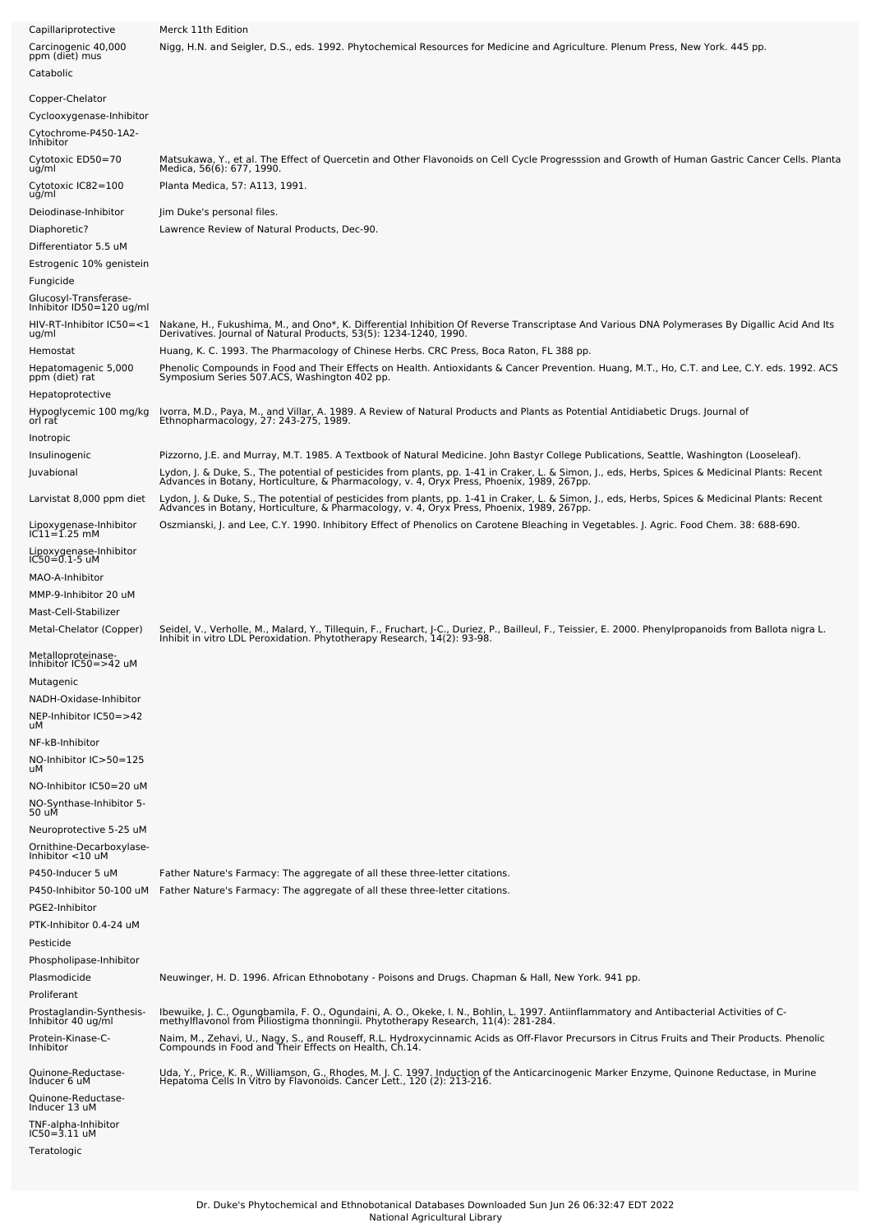| Capillariprotective                                          | Merck 11th Edition                                                                                                                                                                                                                                                                                                                                                                        |
|--------------------------------------------------------------|-------------------------------------------------------------------------------------------------------------------------------------------------------------------------------------------------------------------------------------------------------------------------------------------------------------------------------------------------------------------------------------------|
| Carcinogenic 40,000<br>ppm (diet) mus<br>Catabolic           | Nigg, H.N. and Seigler, D.S., eds. 1992. Phytochemical Resources for Medicine and Agriculture. Plenum Press, New York. 445 pp.                                                                                                                                                                                                                                                            |
|                                                              |                                                                                                                                                                                                                                                                                                                                                                                           |
| Copper-Chelator<br>Cyclooxygenase-Inhibitor                  |                                                                                                                                                                                                                                                                                                                                                                                           |
| -Cytochrome-P450-1A2<br>Inhibitor                            |                                                                                                                                                                                                                                                                                                                                                                                           |
| Cytotoxic ED50=70<br>ug/ml                                   | Matsukawa, Y., et al. The Effect of Quercetin and Other Flavonoids on Cell Cycle Progresssion and Growth of Human Gastric Cancer Cells. Planta<br>Medica, 56(6): 677, 1990.                                                                                                                                                                                                               |
| Cytotoxic IC82=100<br>ug/ml                                  | Planta Medica, 57: A113, 1991.                                                                                                                                                                                                                                                                                                                                                            |
| Deiodinase-Inhibitor                                         | Jim Duke's personal files.                                                                                                                                                                                                                                                                                                                                                                |
| Diaphoretic?                                                 | Lawrence Review of Natural Products, Dec-90.                                                                                                                                                                                                                                                                                                                                              |
| Differentiator 5.5 uM<br>Estrogenic 10% genistein            |                                                                                                                                                                                                                                                                                                                                                                                           |
| Fungicide                                                    |                                                                                                                                                                                                                                                                                                                                                                                           |
| Glucosyl-Transferase-<br>Inhibitor ID50=120 ug/ml            |                                                                                                                                                                                                                                                                                                                                                                                           |
| HIV-RT-Inhibitor IC50=<1<br>ug/ml                            | Nakane, H., Fukushima, M., and Ono*, K. Differential Inhibition Of Reverse Transcriptase And Various DNA Polymerases By Digallic Acid And Its<br>Derivatives. Journal of Natural Products, 53(5): 1234-1240, 1990.                                                                                                                                                                        |
| Hemostat                                                     | Huang, K. C. 1993. The Pharmacology of Chinese Herbs. CRC Press, Boca Raton, FL 388 pp.                                                                                                                                                                                                                                                                                                   |
| Hepatomagenic 5,000<br>ppm (diet) rat<br>Hepatoprotective    | Phenolic Compounds in Food and Their Effects on Health. Antioxidants & Cancer Prevention. Huang, M.T., Ho, C.T. and Lee, C.Y. eds. 1992. ACS<br>Symposium Series 507.ACS, Washington 402 pp.                                                                                                                                                                                              |
| Hypoglycemic 100 mg/kg<br>orl rat                            | lvorra, M.D., Paya, M., and Villar, A. 1989. A Review of Natural Products and Plants as Potential Antidiabetic Drugs. Journal of<br>Ethnopharmacology, 27: 243-275, 1989.                                                                                                                                                                                                                 |
| Inotropic                                                    |                                                                                                                                                                                                                                                                                                                                                                                           |
| Insulinogenic<br>Juvabional                                  | Pizzorno, J.E. and Murray, M.T. 1985. A Textbook of Natural Medicine. John Bastyr College Publications, Seattle, Washington (Looseleaf).<br>Lydon, J. & Duke, S., The potential of pesticides from plants, pp. 1-41 in Craker, L. & Simon, J., eds, Herbs, Spices & Medicinal Plants: Recent<br>Advances in Botany, Horticulture, & Pharmacology, v. 4, Oryx Press, Phoenix, 1989, 267pp. |
| Larvistat 8,000 ppm diet                                     | Lydon, J. & Duke, S., The potential of pesticides from plants, pp. 1-41 in Craker, L. & Simon, J., eds, Herbs, Spices & Medicinal Plants: Recent<br>Advances in Botany, Horticulture, & Pharmacology, v. 4, Oryx Press, Phoenix, 1989, 267pp.                                                                                                                                             |
| Lipoxygenase-Inhibitor<br>IC11=1.25 mM                       | Oszmianski, J. and Lee, C.Y. 1990. Inhibitory Effect of Phenolics on Carotene Bleaching in Vegetables. J. Agric. Food Chem. 38: 688-690.                                                                                                                                                                                                                                                  |
| Lipoxygenase-Inhibitor<br>IC50=0.1-5 uM                      |                                                                                                                                                                                                                                                                                                                                                                                           |
| MAO-A-Inhibitor                                              |                                                                                                                                                                                                                                                                                                                                                                                           |
| MMP-9-Inhibitor 20 uM                                        |                                                                                                                                                                                                                                                                                                                                                                                           |
| Mast-Cell-Stabilizer                                         |                                                                                                                                                                                                                                                                                                                                                                                           |
| Metal-Chelator (Copper)                                      | Seidel, V., Verholle, M., Malard, Y., Tillequin, F., Fruchart, J-C., Duriez, P., Bailleul, F., Teissier, E. 2000. Phenylpropanoids from Ballota nigra L.<br>Inhibit in vitro LDL Peroxidation. Phytotherapy Research, 14(2): 93-9                                                                                                                                                         |
| Metalloproteinase-<br>Inhibitor IC50=>42 uM                  |                                                                                                                                                                                                                                                                                                                                                                                           |
| Mutagenic                                                    |                                                                                                                                                                                                                                                                                                                                                                                           |
| NADH-Oxidase-Inhibitor<br>NEP-Inhibitor IC50=>42<br>uМ       |                                                                                                                                                                                                                                                                                                                                                                                           |
| NF-kB-Inhibitor                                              |                                                                                                                                                                                                                                                                                                                                                                                           |
| NO-Inhibitor IC>50=125<br>uМ                                 |                                                                                                                                                                                                                                                                                                                                                                                           |
| NO-Inhibitor IC50=20 uM<br>NO-Synthase-Inhibitor 5-<br>50 uM |                                                                                                                                                                                                                                                                                                                                                                                           |
| Neuroprotective 5-25 uM<br>Ornithine-Decarboxylase-          |                                                                                                                                                                                                                                                                                                                                                                                           |
| Inhibitor $<$ 10 uM<br>P450-Inducer 5 uM                     | Father Nature's Farmacy: The aggregate of all these three-letter citations.                                                                                                                                                                                                                                                                                                               |
| P450-Inhibitor 50-100 uM<br>PGE2-Inhibitor                   | Father Nature's Farmacy: The aggregate of all these three-letter citations.                                                                                                                                                                                                                                                                                                               |
| PTK-Inhibitor 0.4-24 uM<br>Pesticide                         |                                                                                                                                                                                                                                                                                                                                                                                           |
| Phospholipase-Inhibitor<br>Plasmodicide                      | Neuwinger, H. D. 1996. African Ethnobotany - Poisons and Drugs. Chapman & Hall, New York. 941 pp.                                                                                                                                                                                                                                                                                         |
| Proliferant                                                  |                                                                                                                                                                                                                                                                                                                                                                                           |
| Prostaglandin-Synthesis-<br>Inhibitor 40 ug/ml               | Ibewuike, J. C., Ogungbamila, F. O., Ogundaini, A. O., Okeke, I. N., Bohlin, L. 1997. Antiinflammatory and Antibacterial Activities of C-<br>methylflavonol from Piliostigma thonningii. Phytotherapy Research, 11(4): 281-284.                                                                                                                                                           |
| Protein-Kinase-C-<br>Inhibitor                               | Naim, M., Zehavi, U., Nagy, S., and Rouseff, R.L. Hydroxycinnamic Acids as Off-Flavor Precursors in Citrus Fruits and Their Products. Phenolic<br>Compounds in Food and Their Effects on Health, Ch.14.                                                                                                                                                                                   |
| Quinone-Reductase-<br>Inducer 6 uM                           | Uda, Y., Price, K. R., Williamson, G., Rhodes, M. J. C. 1997. Induction of the Anticarcinogenic Marker Enzyme, Quinone Reductase, in Murine<br>Hepatoma Cells In Vitro by Flavonoids. Cancer Lett., 120 (2): 213-216.                                                                                                                                                                     |
| Quinone-Reductase-<br>Inducer 13 uM                          |                                                                                                                                                                                                                                                                                                                                                                                           |
| TNF-alpha-Inhibitor                                          |                                                                                                                                                                                                                                                                                                                                                                                           |
| IC50=3.11 uM<br>Teratologic                                  |                                                                                                                                                                                                                                                                                                                                                                                           |
|                                                              |                                                                                                                                                                                                                                                                                                                                                                                           |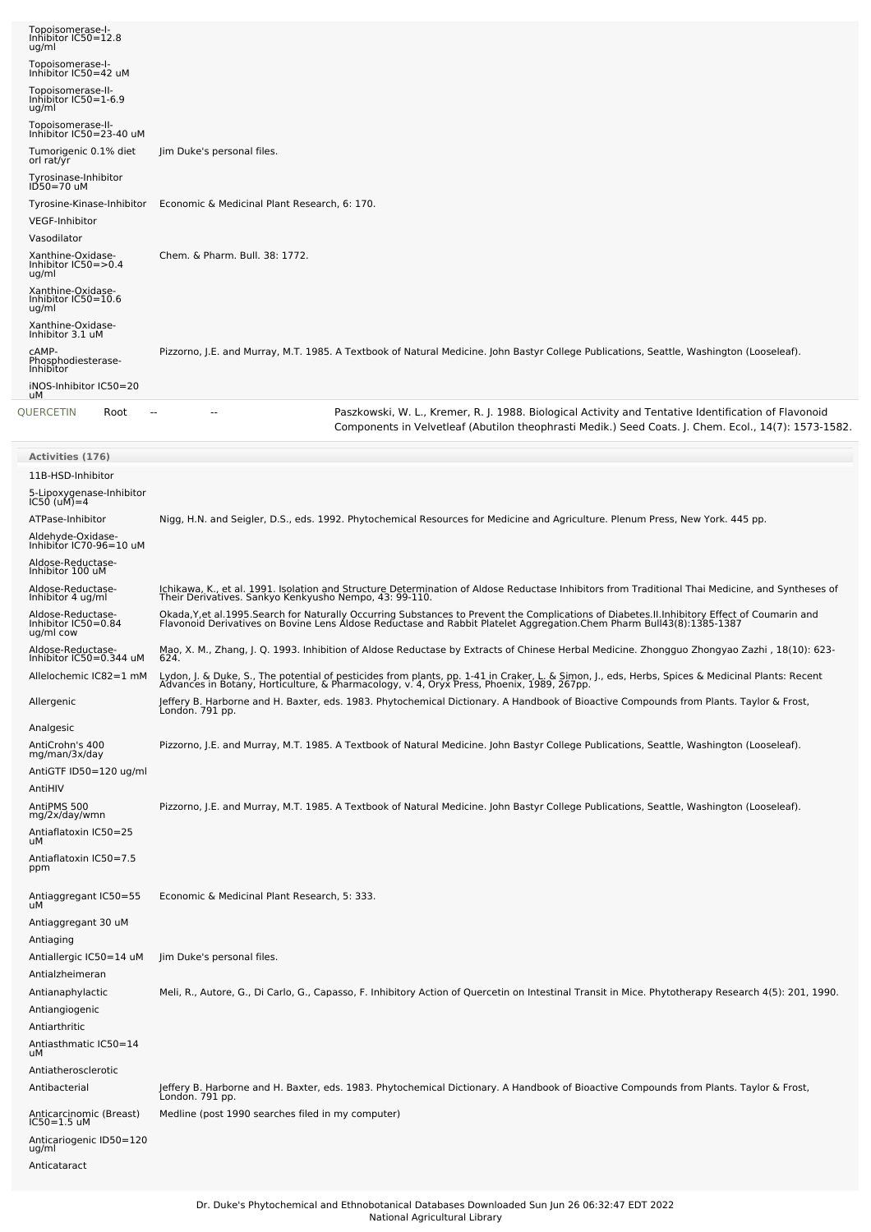| Topoisomerase-I-<br>Inhibitor IC50=12.8<br>ug/ml                   |                                                                                                                                                                                                                                               |
|--------------------------------------------------------------------|-----------------------------------------------------------------------------------------------------------------------------------------------------------------------------------------------------------------------------------------------|
| Topoisomerase-I-<br>Inhibitor IC50=42 uM                           |                                                                                                                                                                                                                                               |
| Topoisomerase-II-<br>Inhibitor IC50=1-6.9<br>ug/ml                 |                                                                                                                                                                                                                                               |
| Topoisomerase-II-<br>Inhibitor IC50=23-40 uM                       |                                                                                                                                                                                                                                               |
| Tumorigenic 0.1% diet<br>orl rat/yr                                | Jim Duke's personal files.                                                                                                                                                                                                                    |
| Tyrosinase-Inhibitor<br>$ID50=70$ uM                               |                                                                                                                                                                                                                                               |
| Tyrosine-Kinase-Inhibitor                                          | Economic & Medicinal Plant Research, 6: 170.                                                                                                                                                                                                  |
| <b>VEGF-Inhibitor</b><br>Vasodilator                               |                                                                                                                                                                                                                                               |
| Xanthine-Oxidase-<br>Inhibitor IC50=>0.4<br>ug/ml                  | Chem. & Pharm. Bull. 38: 1772.                                                                                                                                                                                                                |
| Xanthine-Oxidase-<br>Inhibitor IC50=10.6<br>ug/ml                  |                                                                                                                                                                                                                                               |
| Xanthine-Oxidase-<br>Inhibitor 3.1 uM                              |                                                                                                                                                                                                                                               |
| CAMP-<br>Phosphodiesterase-<br>Inhibitor<br>iNOS-Inhibitor IC50=20 | Pizzorno, J.E. and Murray, M.T. 1985. A Textbook of Natural Medicine. John Bastyr College Publications, Seattle, Washington (Looseleaf).                                                                                                      |
| uМ<br>QUERCETIN<br>Root<br>--                                      | Paszkowski, W. L., Kremer, R. J. 1988. Biological Activity and Tentative Identification of Flavonoid                                                                                                                                          |
|                                                                    | Components in Velvetleaf (Abutilon theophrasti Medik.) Seed Coats. J. Chem. Ecol., 14(7): 1573-1582.                                                                                                                                          |
| <b>Activities (176)</b>                                            |                                                                                                                                                                                                                                               |
| 11B-HSD-Inhibitor<br>5-Lipoxygenase-Inhibitor<br>IC50 (uM)=4       |                                                                                                                                                                                                                                               |
| ATPase-Inhibitor                                                   | Nigg, H.N. and Seigler, D.S., eds. 1992. Phytochemical Resources for Medicine and Agriculture. Plenum Press, New York. 445 pp.                                                                                                                |
| Aldehyde-Oxidase-<br>Inhibitor IC70-96=10 uM                       |                                                                                                                                                                                                                                               |
| Aldose-Reductase-<br>Inhibitor 100 uM                              |                                                                                                                                                                                                                                               |
| Aldose-Reductase-<br>Inhibitor 4 ug/ml                             | Ichikawa, K., et al. 1991. Isolation and Structure Determination of Aldose Reductase Inhibitors from Traditional Thai Medicine, and Syntheses of<br>Their Derivatives. Sankyo Kenkyusho Nempo, 43: 99-110.                                    |
| Aldose-Reductase-<br>Inhibitor IC50=0.84<br>ug/ml cow              | Okada,Y,et al.1995.Search for Naturally Occurring Substances to Prevent the Complications of Diabetes.II.Inhibitory Effect of Coumarin and<br>Flavonoid Derivatives on Bovine Lens Aldose Reductase and Rabbit Platelet Aggregati             |
| Aldose-Reductase-<br>Inhibitor IC50=0.344 uM                       | Mao, X. M., Zhang, J. Q. 1993. Inhibition of Aldose Reductase by Extracts of Chinese Herbal Medicine. Zhongguo Zhongyao Zazhi, 18(10): 623-<br>624.                                                                                           |
| Allelochemic IC82=1 mM                                             | Lydon, J. & Duke, S., The potential of pesticides from plants, pp. 1-41 in Craker, L. & Simon, J., eds, Herbs, Spices & Medicinal Plants: Recent<br>Advances in Botany, Horticulture, & Pharmacology, v. 4, Oryx Press, Phoenix, 1989, 267pp. |
| Allergenic                                                         | Jeffery B. Harborne and H. Baxter, eds. 1983. Phytochemical Dictionary. A Handbook of Bioactive Compounds from Plants. Taylor & Frost,<br>Londón. 791 pp.                                                                                     |
| Analgesic<br>AntiCrohn's 400<br>mg/man/3x/day                      | Pizzorno, J.E. and Murray, M.T. 1985. A Textbook of Natural Medicine. John Bastyr College Publications, Seattle, Washington (Looseleaf).                                                                                                      |
| AntiGTF ID50=120 ug/ml<br>AntiHIV                                  |                                                                                                                                                                                                                                               |
| AntiPMS 500<br>mg/2x/day/wmn                                       | Pizzorno, J.E. and Murray, M.T. 1985. A Textbook of Natural Medicine. John Bastyr College Publications, Seattle, Washington (Looseleaf).                                                                                                      |
| Antiaflatoxin IC50=25<br>uМ                                        |                                                                                                                                                                                                                                               |
| Antiaflatoxin IC50=7.5<br>ppm                                      |                                                                                                                                                                                                                                               |
| Antiaggregant IC50=55<br>uМ                                        | Economic & Medicinal Plant Research, 5: 333.                                                                                                                                                                                                  |
| Antiaggregant 30 uM<br>Antiaging                                   |                                                                                                                                                                                                                                               |
| Antiallergic IC50=14 uM                                            | Jim Duke's personal files.                                                                                                                                                                                                                    |
| Antialzheimeran<br>Antianaphylactic                                | Meli, R., Autore, G., Di Carlo, G., Capasso, F. Inhibitory Action of Quercetin on Intestinal Transit in Mice. Phytotherapy Research 4(5): 201, 1990.                                                                                          |
| Antiangiogenic                                                     |                                                                                                                                                                                                                                               |
| Antiarthritic<br>Antiasthmatic IC50=14                             |                                                                                                                                                                                                                                               |
| uМ<br>Antiatherosclerotic                                          |                                                                                                                                                                                                                                               |
| Antibacterial                                                      | Jeffery B. Harborne and H. Baxter, eds. 1983. Phytochemical Dictionary. A Handbook of Bioactive Compounds from Plants. Taylor & Frost,<br>London. 791 pp.                                                                                     |
| Anticarcinomic (Breast)<br>IC50=1.5 uM                             | Medline (post 1990 searches filed in my computer)                                                                                                                                                                                             |
| Anticariogenic ID50=120<br>ug/ml<br>Anticataract                   |                                                                                                                                                                                                                                               |
|                                                                    |                                                                                                                                                                                                                                               |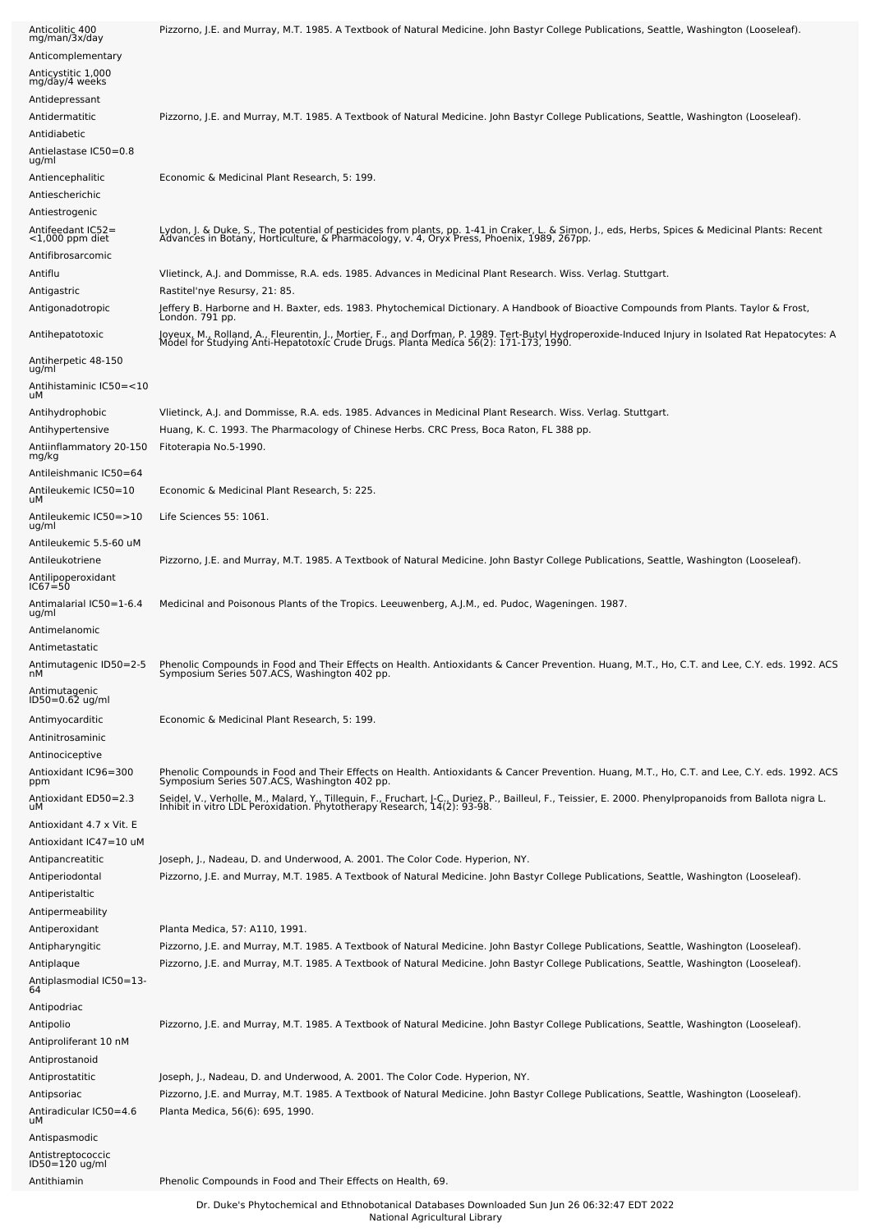| Anticolitic 400<br>mg/man/3x/day                             | Pizzorno, J.E. and Murray, M.T. 1985. A Textbook of Natural Medicine. John Bastyr College Publications, Seattle, Washington (Looseleaf).                                                                                            |
|--------------------------------------------------------------|-------------------------------------------------------------------------------------------------------------------------------------------------------------------------------------------------------------------------------------|
| Anticomplementary                                            |                                                                                                                                                                                                                                     |
| Anticystitic 1,000<br>mg/day/4 weeks                         |                                                                                                                                                                                                                                     |
| Antidepressant                                               |                                                                                                                                                                                                                                     |
| Antidermatitic                                               | Pizzorno, J.E. and Murray, M.T. 1985. A Textbook of Natural Medicine. John Bastyr College Publications, Seattle, Washington (Looseleaf).                                                                                            |
| Antidiabetic                                                 |                                                                                                                                                                                                                                     |
| Antielastase IC50=0.8<br>ug/ml                               |                                                                                                                                                                                                                                     |
| Antiencephalitic                                             | Economic & Medicinal Plant Research, 5: 199.                                                                                                                                                                                        |
| Antiescherichic                                              |                                                                                                                                                                                                                                     |
| Antiestrogenic                                               |                                                                                                                                                                                                                                     |
| Antifeedant IC52=<br>$<$ 1,000 ppm diet<br>Antifibrosarcomic | Lydon, J. & Duke, S., The potential of pesticides from plants, pp. 1-41 in Craker, L. & Simon, J., eds, Herbs, Spices & Medicinal Plants: Recent<br>Advances in Botany, Horticulture, & Pharmacology, v. 4, Oryx Press, Phoenix,    |
| Antiflu                                                      | Vlietinck, A.J. and Dommisse, R.A. eds. 1985. Advances in Medicinal Plant Research. Wiss. Verlag. Stuttgart.                                                                                                                        |
| Antigastric                                                  | Rastitel'nye Resursy, 21: 85.                                                                                                                                                                                                       |
| Antigonadotropic                                             | Jeffery B. Harborne and H. Baxter, eds. 1983. Phytochemical Dictionary. A Handbook of Bioactive Compounds from Plants. Taylor & Frost,<br>London. 791 pp.                                                                           |
| Antihepatotoxic                                              | Joyeux, M., Rolland, A., Fleurentin, J., Mortier, F., and Dorfman, P. 1989. Tert-Butyl Hydroperoxide-Induced Injury in Isolated Rat Hepatocytes: A<br>Model for Studying Anti-Hepatotoxic Crude Drugs. Planta Medica 56(2): 171-1   |
| Antiherpetic 48-150<br>ug/ml                                 |                                                                                                                                                                                                                                     |
| Antihistaminic IC50=<10<br>uМ                                |                                                                                                                                                                                                                                     |
| Antihydrophobic                                              | Vlietinck, A.J. and Dommisse, R.A. eds. 1985. Advances in Medicinal Plant Research. Wiss. Verlag. Stuttgart.                                                                                                                        |
| Antihypertensive<br>Antiinflammatory 20-150                  | Huang, K. C. 1993. The Pharmacology of Chinese Herbs. CRC Press, Boca Raton, FL 388 pp.<br>Fitoterapia No.5-1990.                                                                                                                   |
| mg/kg<br>Antileishmanic IC50=64                              |                                                                                                                                                                                                                                     |
| Antileukemic IC50=10<br>uМ                                   | Economic & Medicinal Plant Research, 5: 225.                                                                                                                                                                                        |
| Antileukemic IC50=>10<br>ug/ml                               | Life Sciences 55: 1061.                                                                                                                                                                                                             |
| Antileukemic 5.5-60 uM                                       |                                                                                                                                                                                                                                     |
| Antileukotriene                                              | Pizzorno, J.E. and Murray, M.T. 1985. A Textbook of Natural Medicine. John Bastyr College Publications, Seattle, Washington (Looseleaf).                                                                                            |
| Antilipoperoxidant<br>IC67≐50                                |                                                                                                                                                                                                                                     |
| Antimalarial IC50=1-6.4<br>ug/ml                             | Medicinal and Poisonous Plants of the Tropics. Leeuwenberg, A.J.M., ed. Pudoc, Wageningen. 1987.                                                                                                                                    |
| Antimelanomic<br>Antimetastatic                              |                                                                                                                                                                                                                                     |
| Antimutagenic ID50=2-5<br>nМ                                 | Phenolic Compounds in Food and Their Effects on Health. Antioxidants & Cancer Prevention. Huang, M.T., Ho, C.T. and Lee, C.Y. eds. 1992. ACS<br>Symposium Series 507.ACS, Washington 402 pp.                                        |
| Antimutagenic<br>ID50=0.62 ug/ml                             |                                                                                                                                                                                                                                     |
| Antimyocarditic                                              | Economic & Medicinal Plant Research, 5: 199.                                                                                                                                                                                        |
| Antinitrosaminic                                             |                                                                                                                                                                                                                                     |
| Antinociceptive<br>Antioxidant IC96=300                      | Phenolic Compounds in Food and Their Effects on Health. Antioxidants & Cancer Prevention. Huang, M.T., Ho, C.T. and Lee, C.Y. eds. 1992. ACS                                                                                        |
| ppm                                                          | Symposium Series 507.ACS, Washington 402 pp.                                                                                                                                                                                        |
| Antioxidant ED50=2.3<br>uМ                                   | Seidel, V., Verholle, M., Malard, Y., Tillequin, F., Fruchart, J.C., Duriez, P., Bailleul, F., Teissier, E. 2000. Phenylpropanoids from Ballota nigra L.<br>Inhibit in vitro LDL Peroxidation. Phytotherapy Research, 14(2): 93-98. |
| Antioxidant 4.7 x Vit. E                                     |                                                                                                                                                                                                                                     |
| Antioxidant IC47=10 uM                                       |                                                                                                                                                                                                                                     |
| Antipancreatitic                                             | Joseph, J., Nadeau, D. and Underwood, A. 2001. The Color Code. Hyperion, NY.                                                                                                                                                        |
| Antiperiodontal<br>Antiperistaltic                           | Pizzorno, J.E. and Murray, M.T. 1985. A Textbook of Natural Medicine. John Bastyr College Publications, Seattle, Washington (Looseleaf).                                                                                            |
| Antipermeability                                             |                                                                                                                                                                                                                                     |
| Antiperoxidant                                               | Planta Medica, 57: A110, 1991.                                                                                                                                                                                                      |
| Antipharyngitic                                              | Pizzorno, J.E. and Murray, M.T. 1985. A Textbook of Natural Medicine. John Bastyr College Publications, Seattle, Washington (Looseleaf).                                                                                            |
| Antiplaque                                                   | Pizzorno, J.E. and Murray, M.T. 1985. A Textbook of Natural Medicine. John Bastyr College Publications, Seattle, Washington (Looseleaf).                                                                                            |
| -4.Antiplasmodial IC50=13<br>64                              |                                                                                                                                                                                                                                     |
| Antipodriac                                                  |                                                                                                                                                                                                                                     |
| Antipolio                                                    | Pizzorno, J.E. and Murray, M.T. 1985. A Textbook of Natural Medicine. John Bastyr College Publications, Seattle, Washington (Looseleaf).                                                                                            |
| Antiproliferant 10 nM                                        |                                                                                                                                                                                                                                     |
| Antiprostanoid                                               |                                                                                                                                                                                                                                     |
| Antiprostatitic                                              | Joseph, J., Nadeau, D. and Underwood, A. 2001. The Color Code. Hyperion, NY.                                                                                                                                                        |
| Antipsoriac                                                  | Pizzorno, J.E. and Murray, M.T. 1985. A Textbook of Natural Medicine. John Bastyr College Publications, Seattle, Washington (Looseleaf).                                                                                            |
| Antiradicular IC50=4.6<br>uМ                                 | Planta Medica, 56(6): 695, 1990.                                                                                                                                                                                                    |
| Antispasmodic                                                |                                                                                                                                                                                                                                     |
| Antistreptococcic<br>ID50=120 ug/ml                          |                                                                                                                                                                                                                                     |
| Antithiamin                                                  | Phenolic Compounds in Food and Their Effects on Health, 69.                                                                                                                                                                         |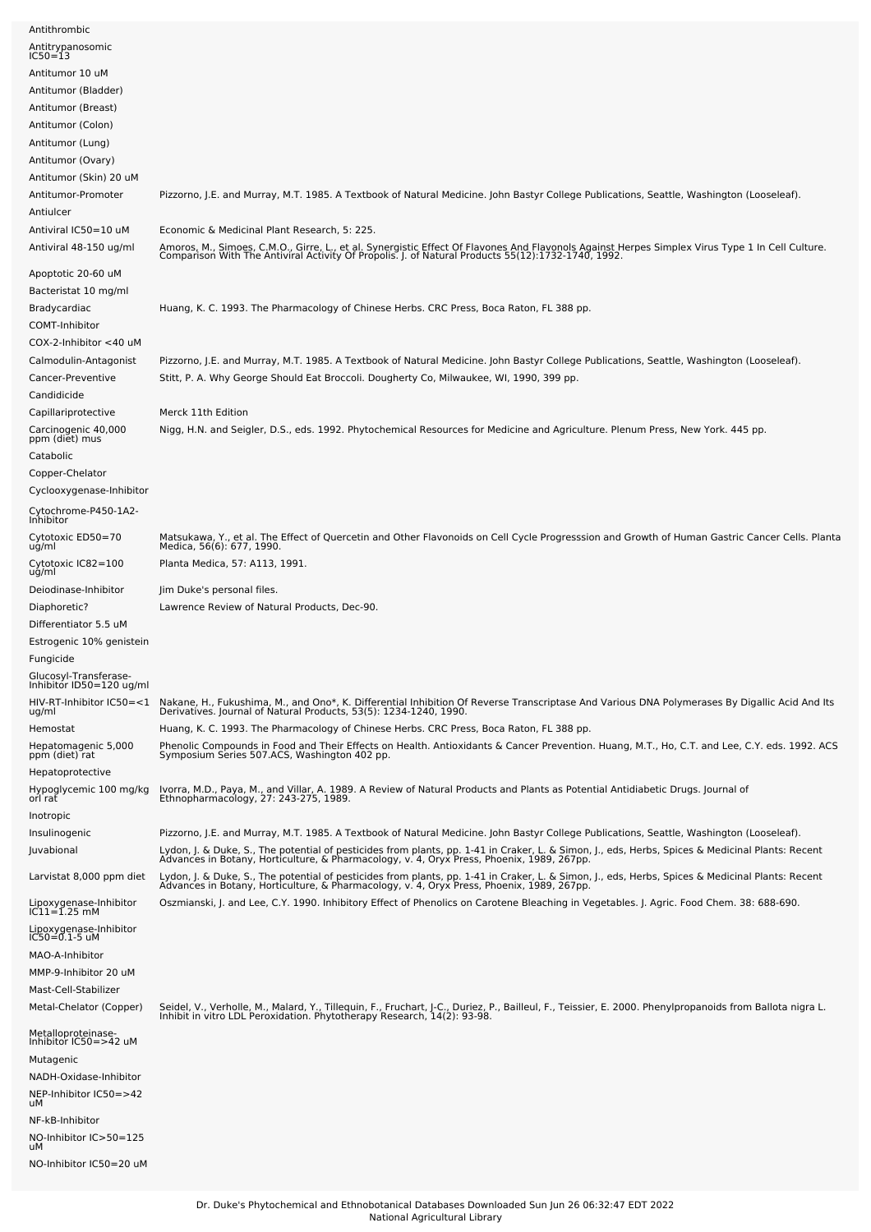| Antithrombic                                      |                                                                                                                                                                                                                                   |
|---------------------------------------------------|-----------------------------------------------------------------------------------------------------------------------------------------------------------------------------------------------------------------------------------|
| Antitrypanosomic<br>IC50=13                       |                                                                                                                                                                                                                                   |
| Antitumor 10 uM                                   |                                                                                                                                                                                                                                   |
| Antitumor (Bladder)                               |                                                                                                                                                                                                                                   |
| Antitumor (Breast)                                |                                                                                                                                                                                                                                   |
| Antitumor (Colon)                                 |                                                                                                                                                                                                                                   |
| Antitumor (Lung)                                  |                                                                                                                                                                                                                                   |
| Antitumor (Ovary)                                 |                                                                                                                                                                                                                                   |
| Antitumor (Skin) 20 uM                            |                                                                                                                                                                                                                                   |
| Antitumor-Promoter                                | Pizzorno, J.E. and Murray, M.T. 1985. A Textbook of Natural Medicine. John Bastyr College Publications, Seattle, Washington (Looseleaf).                                                                                          |
| Antiulcer                                         |                                                                                                                                                                                                                                   |
| Antiviral IC50=10 uM                              | Economic & Medicinal Plant Research, 5: 225.                                                                                                                                                                                      |
| Antiviral 48-150 ug/ml                            | Amoros, M., Simoes, C.M.O., Girre, L., et al. Synergistic Effect Of Flavones And Flavonols Against Herpes Simplex Virus Type 1 In Cell Culture.<br>Comparison With The Antiviral Activity Of Propolis. J. of Natural Products 55( |
| Apoptotic 20-60 uM                                |                                                                                                                                                                                                                                   |
| Bacteristat 10 mg/ml                              |                                                                                                                                                                                                                                   |
| Bradycardiac                                      | Huang, K. C. 1993. The Pharmacology of Chinese Herbs. CRC Press, Boca Raton, FL 388 pp.                                                                                                                                           |
| COMT-Inhibitor                                    |                                                                                                                                                                                                                                   |
| COX-2-Inhibitor <40 uM                            |                                                                                                                                                                                                                                   |
| Calmodulin-Antagonist                             | Pizzorno, J.E. and Murray, M.T. 1985. A Textbook of Natural Medicine. John Bastyr College Publications, Seattle, Washington (Looseleaf).                                                                                          |
| Cancer-Preventive                                 | Stitt, P. A. Why George Should Eat Broccoli. Dougherty Co, Milwaukee, WI, 1990, 399 pp.                                                                                                                                           |
| Candidicide                                       |                                                                                                                                                                                                                                   |
| Capillariprotective                               | Merck 11th Edition                                                                                                                                                                                                                |
| Carcinogenic 40,000<br>ppm (diet) mus             | Nigg, H.N. and Seigler, D.S., eds. 1992. Phytochemical Resources for Medicine and Agriculture. Plenum Press, New York. 445 pp.                                                                                                    |
| Catabolic                                         |                                                                                                                                                                                                                                   |
| Copper-Chelator                                   |                                                                                                                                                                                                                                   |
| Cyclooxygenase-Inhibitor                          |                                                                                                                                                                                                                                   |
| Cytochrome-P450-1A2-<br>Inhibitor                 |                                                                                                                                                                                                                                   |
| Cytotoxic ED50=70                                 | Matsukawa, Y., et al. The Effect of Quercetin and Other Flavonoids on Cell Cycle Progresssion and Growth of Human Gastric Cancer Cells. Planta<br>Medica, 56(6): 677, 1990.                                                       |
| ug/ml                                             |                                                                                                                                                                                                                                   |
| Cytotoxic IC82=100<br>uğ/ml                       | Planta Medica, 57: A113, 1991.                                                                                                                                                                                                    |
| Deiodinase-Inhibitor                              | Jim Duke's personal files.                                                                                                                                                                                                        |
|                                                   |                                                                                                                                                                                                                                   |
| Diaphoretic?                                      | Lawrence Review of Natural Products, Dec-90.                                                                                                                                                                                      |
| Differentiator 5.5 uM                             |                                                                                                                                                                                                                                   |
| Estrogenic 10% genistein                          |                                                                                                                                                                                                                                   |
| Fungicide                                         |                                                                                                                                                                                                                                   |
| Glucosyl-Transferase-<br>Inhibitor ID50=120 ug/ml |                                                                                                                                                                                                                                   |
| HIV-RT-Inhibitor IC50=<1                          |                                                                                                                                                                                                                                   |
| ug/ml                                             | Nakane, H., Fukushima, M., and Ono*, K. Differential Inhibition Of Reverse Transcriptase And Various DNA Polymerases By Digallic Acid And Its<br>Derivatives. Journal of Natural Products, 53(5): 1234-1240, 1990.                |
| Hemostat                                          | Huang, K. C. 1993. The Pharmacology of Chinese Herbs. CRC Press, Boca Raton, FL 388 pp.                                                                                                                                           |
| Hepatomagenic 5,000<br>ppm (diet) rat             | Phenolic Compounds in Food and Their Effects on Health. Antioxidants & Cancer Prevention. Huang, M.T., Ho, C.T. and Lee, C.Y. eds. 1992. ACS<br>Symposium Series 507.ACS, Washington 402 pp.                                      |
| Hepatoprotective                                  |                                                                                                                                                                                                                                   |
| Hypoglycemic 100 mg/kg<br>orl rat                 |                                                                                                                                                                                                                                   |
| Inotropic                                         | Ivorra, M.D., Paya, M., and Villar, A. 1989. A Review of Natural Products and Plants as Potential Antidiabetic Drugs. Journal of<br>Ethnopharmacology, 27: 243-275, 1989.                                                         |
| Insulinogenic                                     | Pizzorno, J.E. and Murray, M.T. 1985. A Textbook of Natural Medicine. John Bastyr College Publications, Seattle, Washington (Looseleaf).                                                                                          |
| Juvabional                                        |                                                                                                                                                                                                                                   |
|                                                   | Lydon, J. & Duke, S., The potential of pesticides from plants, pp. 1-41 in Craker, L. & Simon, J., eds, Herbs, Spices & Medicinal Plants: Recent<br>Advances in Botany, Horticulture, & Pharmacology, v. 4, Oryx Press, Phoenix,  |
| Larvistat 8,000 ppm diet                          | Lydon, J. & Duke, S., The potential of pesticides from plants, pp. 1-41 in Craker, L. & Simon, J., eds, Herbs, Spices & Medicinal Plants: Recent<br>Advances in Botany, Horticulture, & Pharmacology, v. 4, Oryx Press, Phoenix,  |
| Lipoxygenase-Inhibitor<br>IC11=1.25 mM            | Oszmianski, J. and Lee, C.Y. 1990. Inhibitory Effect of Phenolics on Carotene Bleaching in Vegetables. J. Agric. Food Chem. 38: 688-690.                                                                                          |
| Lipoxygenase-Inhibitor                            |                                                                                                                                                                                                                                   |
| $IC50 = 0.1 - 5$ uM<br>MAO-A-Inhibitor            |                                                                                                                                                                                                                                   |
| MMP-9-Inhibitor 20 uM                             |                                                                                                                                                                                                                                   |
| Mast-Cell-Stabilizer                              |                                                                                                                                                                                                                                   |
| Metal-Chelator (Copper)                           |                                                                                                                                                                                                                                   |
| Metalloproteinase-                                | Seidel, V., Verholle, M., Malard, Y., Tillequin, F., Fruchart, J-C., Duriez, P., Bailleul, F., Teissier, E. 2000. Phenylpropanoids from Ballota nigra L.<br>Inhibit in vitro LDL Peroxidation. Phytotherapy Research, 14(2): 93-9 |
| Inhibitor IC50=>42 uM                             |                                                                                                                                                                                                                                   |
| Mutagenic                                         |                                                                                                                                                                                                                                   |
| NADH-Oxidase-Inhibitor                            |                                                                                                                                                                                                                                   |
| NEP-Inhibitor IC50=>42<br>uМ                      |                                                                                                                                                                                                                                   |
| NF-kB-Inhibitor                                   |                                                                                                                                                                                                                                   |
| NO-Inhibitor IC>50=125<br>uМ                      |                                                                                                                                                                                                                                   |